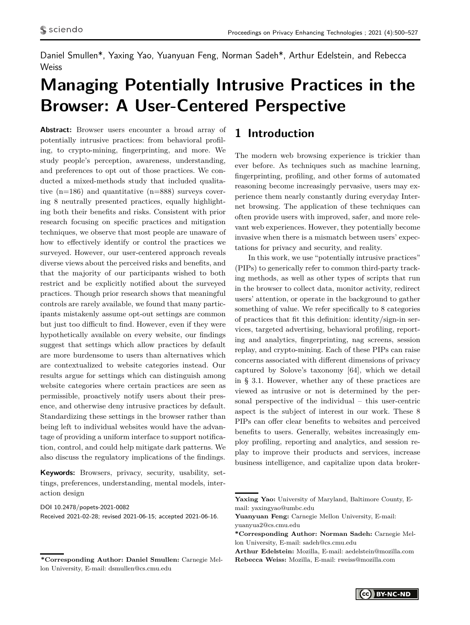Daniel Smullen\*, Yaxing Yao, Yuanyuan Feng, Norman Sadeh\*, Arthur Edelstein, and Rebecca **Weiss** 

# **Managing Potentially Intrusive Practices in the Browser: A User-Centered Perspective**

**Abstract:** Browser users encounter a broad array of potentially intrusive practices: from behavioral profiling, to crypto-mining, fingerprinting, and more. We study people's perception, awareness, understanding, and preferences to opt out of those practices. We conducted a mixed-methods study that included qualitative (n=186) and quantitative (n=888) surveys covering 8 neutrally presented practices, equally highlighting both their benefits and risks. Consistent with prior research focusing on specific practices and mitigation techniques, we observe that most people are unaware of how to effectively identify or control the practices we surveyed. However, our user-centered approach reveals diverse views about the perceived risks and benefits, and that the majority of our participants wished to both restrict and be explicitly notified about the surveyed practices. Though prior research shows that meaningful controls are rarely available, we found that many participants mistakenly assume opt-out settings are common but just too difficult to find. However, even if they were hypothetically available on every website, our findings suggest that settings which allow practices by default are more burdensome to users than alternatives which are contextualized to website categories instead. Our results argue for settings which can distinguish among website categories where certain practices are seen as permissible, proactively notify users about their presence, and otherwise deny intrusive practices by default. Standardizing these settings in the browser rather than being left to individual websites would have the advantage of providing a uniform interface to support notification, control, and could help mitigate dark patterns. We also discuss the regulatory implications of the findings.

**Keywords:** Browsers, privacy, security, usability, settings, preferences, understanding, mental models, interaction design

Received 2021-02-28; revised 2021-06-15; accepted 2021-06-16.

# **1 Introduction**

The modern web browsing experience is trickier than ever before. As techniques such as machine learning, fingerprinting, profiling, and other forms of automated reasoning become increasingly pervasive, users may experience them nearly constantly during everyday Internet browsing. The application of these techniques can often provide users with improved, safer, and more relevant web experiences. However, they potentially become invasive when there is a mismatch between users' expectations for privacy and security, and reality.

In this work, we use "potentially intrusive practices" (PIPs) to generically refer to common third-party tracking methods, as well as other types of scripts that run in the browser to collect data, monitor activity, redirect users' attention, or operate in the background to gather something of value. We refer specifically to 8 categories of practices that fit this definition: identity/sign-in services, targeted advertising, behavioral profiling, reporting and analytics, fingerprinting, nag screens, session replay, and crypto-mining. Each of these PIPs can raise concerns associated with different dimensions of privacy captured by Solove's taxonomy [\[64\]](#page-17-0), which we detail in § [3.1.](#page-3-0) However, whether any of these practices are viewed as intrusive or not is determined by the personal perspective of the individual – this user-centric aspect is the subject of interest in our work. These 8 PIPs can offer clear benefits to websites and perceived benefits to users. Generally, websites increasingly employ profiling, reporting and analytics, and session replay to improve their products and services, increase business intelligence, and capitalize upon data broker-

DOI 10.2478/popets-2021-0082

**<sup>\*</sup>Corresponding Author: Daniel Smullen:** Carnegie Mellon University, E-mail: dsmullen@cs.cmu.edu

**Yaxing Yao:** University of Maryland, Baltimore County, Email: yaxingyao@umbc.edu

**Yuanyuan Feng:** Carnegie Mellon University, E-mail: yuanyua2@cs.cmu.edu

**<sup>\*</sup>Corresponding Author: Norman Sadeh:** Carnegie Mellon University, E-mail: sadeh@cs.cmu.edu

**Arthur Edelstein:** Mozilla, E-mail: aedelstein@mozilla.com **Rebecca Weiss:** Mozilla, E-mail: rweiss@mozilla.com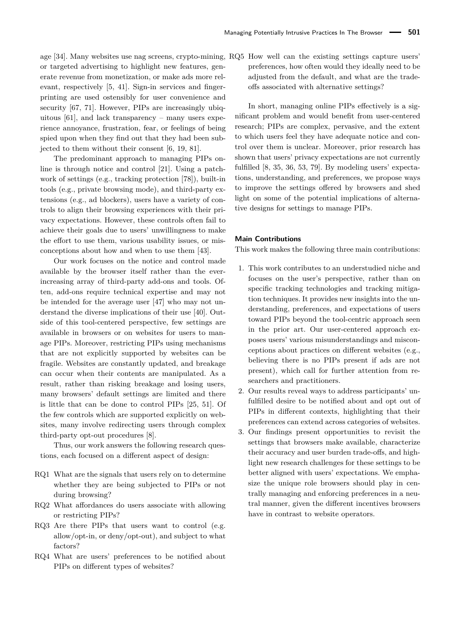age [\[34\]](#page-16-0). Many websites use nag screens, crypto-mining, RQ5 How well can the existing settings capture users' or targeted advertising to highlight new features, generate revenue from monetization, or make ads more relevant, respectively [\[5,](#page-15-0) [41\]](#page-16-1). Sign-in services and fingerprinting are used ostensibly for user convenience and security [\[67,](#page-17-1) [71\]](#page-17-2). However, PIPs are increasingly ubiquitous  $[61]$ , and lack transparency – many users experience annoyance, frustration, fear, or feelings of being spied upon when they find out that they had been subjected to them without their consent [\[6,](#page-15-1) [19,](#page-15-2) [81\]](#page-17-4).

The predominant approach to managing PIPs online is through notice and control [\[21\]](#page-15-3). Using a patchwork of settings (e.g., tracking protection [\[78\]](#page-17-5)), built-in tools (e.g., private browsing mode), and third-party extensions (e.g., ad blockers), users have a variety of controls to align their browsing experiences with their privacy expectations. However, these controls often fail to achieve their goals due to users' unwillingness to make the effort to use them, various usability issues, or misconceptions about how and when to use them [\[43\]](#page-16-2).

Our work focuses on the notice and control made available by the browser itself rather than the everincreasing array of third-party add-ons and tools. Often, add-ons require technical expertise and may not be intended for the average user [\[47\]](#page-16-3) who may not understand the diverse implications of their use [\[40\]](#page-16-4). Outside of this tool-centered perspective, few settings are available in browsers or on websites for users to manage PIPs. Moreover, restricting PIPs using mechanisms that are not explicitly supported by websites can be fragile. Websites are constantly updated, and breakage can occur when their contents are manipulated. As a result, rather than risking breakage and losing users, many browsers' default settings are limited and there is little that can be done to control PIPs [\[25,](#page-15-4) [51\]](#page-16-5). Of the few controls which are supported explicitly on websites, many involve redirecting users through complex third-party opt-out procedures [\[8\]](#page-15-5).

Thus, our work answers the following research questions, each focused on a different aspect of design:

- RQ1 What are the signals that users rely on to determine whether they are being subjected to PIPs or not during browsing?
- RQ2 What affordances do users associate with allowing or restricting PIPs?
- RQ3 Are there PIPs that users want to control (e.g. allow/opt-in, or deny/opt-out), and subject to what factors?
- RQ4 What are users' preferences to be notified about PIPs on different types of websites?

preferences, how often would they ideally need to be adjusted from the default, and what are the tradeoffs associated with alternative settings?

In short, managing online PIPs effectively is a significant problem and would benefit from user-centered research; PIPs are complex, pervasive, and the extent to which users feel they have adequate notice and control over them is unclear. Moreover, prior research has shown that users' privacy expectations are not currently fulfilled [\[8,](#page-15-5) [35,](#page-16-6) [36,](#page-16-7) [53,](#page-16-8) [79\]](#page-17-6). By modeling users' expectations, understanding, and preferences, we propose ways to improve the settings offered by browsers and shed light on some of the potential implications of alternative designs for settings to manage PIPs.

#### **Main Contributions**

This work makes the following three main contributions:

- 1. This work contributes to an understudied niche and focuses on the user's perspective, rather than on specific tracking technologies and tracking mitigation techniques. It provides new insights into the understanding, preferences, and expectations of users toward PIPs beyond the tool-centric approach seen in the prior art. Our user-centered approach exposes users' various misunderstandings and misconceptions about practices on different websites (e.g., believing there is no PIPs present if ads are not present), which call for further attention from researchers and practitioners.
- 2. Our results reveal ways to address participants' unfulfilled desire to be notified about and opt out of PIPs in different contexts, highlighting that their preferences can extend across categories of websites.
- 3. Our findings present opportunities to revisit the settings that browsers make available, characterize their accuracy and user burden trade-offs, and highlight new research challenges for these settings to be better aligned with users' expectations. We emphasize the unique role browsers should play in centrally managing and enforcing preferences in a neutral manner, given the different incentives browsers have in contrast to website operators.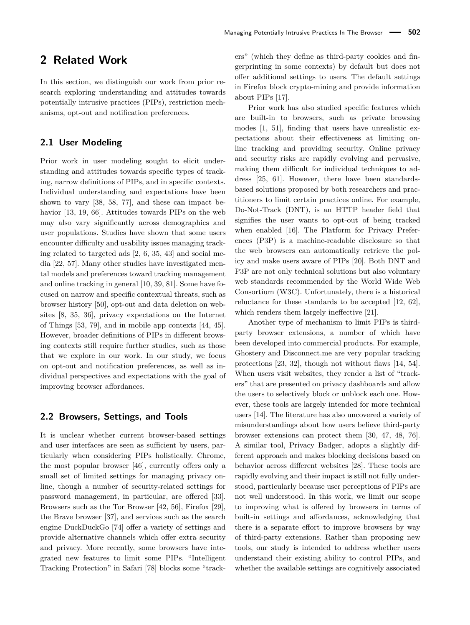# **2 Related Work**

In this section, we distinguish our work from prior research exploring understanding and attitudes towards potentially intrusive practices (PIPs), restriction mechanisms, opt-out and notification preferences.

# **2.1 User Modeling**

Prior work in user modeling sought to elicit understanding and attitudes towards specific types of tracking, narrow definitions of PIPs, and in specific contexts. Individual understanding and expectations have been shown to vary [\[38,](#page-16-9) [58,](#page-17-7) [77\]](#page-17-8), and these can impact behavior [\[13,](#page-15-6) [19,](#page-15-2) [66\]](#page-17-9). Attitudes towards PIPs on the web may also vary significantly across demographics and user populations. Studies have shown that some users encounter difficulty and usability issues managing tracking related to targeted ads [\[2,](#page-15-7) [6,](#page-15-1) [35,](#page-16-6) [43\]](#page-16-2) and social media [\[22,](#page-15-8) [57\]](#page-17-10). Many other studies have investigated mental models and preferences toward tracking management and online tracking in general [\[10,](#page-15-9) [39,](#page-16-10) [81\]](#page-17-4). Some have focused on narrow and specific contextual threats, such as browser history [\[50\]](#page-16-11), opt-out and data deletion on websites [\[8,](#page-15-5) [35,](#page-16-6) [36\]](#page-16-7), privacy expectations on the Internet of Things [\[53,](#page-16-8) [79\]](#page-17-6), and in mobile app contexts [\[44,](#page-16-12) [45\]](#page-16-13). However, broader definitions of PIPs in different browsing contexts still require further studies, such as those that we explore in our work. In our study, we focus on opt-out and notification preferences, as well as individual perspectives and expectations with the goal of improving browser affordances.

### **2.2 Browsers, Settings, and Tools**

It is unclear whether current browser-based settings and user interfaces are seen as sufficient by users, particularly when considering PIPs holistically. Chrome, the most popular browser [\[46\]](#page-16-14), currently offers only a small set of limited settings for managing privacy online, though a number of security-related settings for password management, in particular, are offered [\[33\]](#page-16-15). Browsers such as the Tor Browser [\[42,](#page-16-16) [56\]](#page-17-11), Firefox [\[29\]](#page-15-10), the Brave browser [\[37\]](#page-16-17), and services such as the search engine DuckDuckGo [\[74\]](#page-17-12) offer a variety of settings and provide alternative channels which offer extra security and privacy. More recently, some browsers have integrated new features to limit some PIPs. "Intelligent Tracking Protection" in Safari [\[78\]](#page-17-5) blocks some "trackers" (which they define as third-party cookies and fingerprinting in some contexts) by default but does not offer additional settings to users. The default settings in Firefox block crypto-mining and provide information about PIPs [\[17\]](#page-15-11).

Prior work has also studied specific features which are built-in to browsers, such as private browsing modes [\[1,](#page-15-12) [51\]](#page-16-5), finding that users have unrealistic expectations about their effectiveness at limiting online tracking and providing security. Online privacy and security risks are rapidly evolving and pervasive, making them difficult for individual techniques to address [\[25,](#page-15-4) [61\]](#page-17-3). However, there have been standardsbased solutions proposed by both researchers and practitioners to limit certain practices online. For example, Do-Not-Track (DNT), is an HTTP header field that signifies the user wants to opt-out of being tracked when enabled [\[16\]](#page-15-13). The Platform for Privacy Preferences (P3P) is a machine-readable disclosure so that the web browsers can automatically retrieve the policy and make users aware of PIPs [\[20\]](#page-15-14). Both DNT and P3P are not only technical solutions but also voluntary web standards recommended by the World Wide Web Consortium (W3C). Unfortunately, there is a historical reluctance for these standards to be accepted [\[12,](#page-15-15) [62\]](#page-17-13), which renders them largely ineffective [\[21\]](#page-15-3).

Another type of mechanism to limit PIPs is thirdparty browser extensions, a number of which have been developed into commercial products. For example, Ghostery and Disconnect.me are very popular tracking protections [\[23,](#page-15-16) [32\]](#page-16-18), though not without flaws [\[14,](#page-15-17) [54\]](#page-16-19). When users visit websites, they render a list of "trackers" that are presented on privacy dashboards and allow the users to selectively block or unblock each one. However, these tools are largely intended for more technical users [\[14\]](#page-15-17). The literature has also uncovered a variety of misunderstandings about how users believe third-party browser extensions can protect them [\[30,](#page-15-18) [47,](#page-16-3) [48,](#page-16-20) [76\]](#page-17-14). A similar tool, Privacy Badger, adopts a slightly different approach and makes blocking decisions based on behavior across different websites [\[28\]](#page-15-19). These tools are rapidly evolving and their impact is still not fully understood, particularly because user perceptions of PIPs are not well understood. In this work, we limit our scope to improving what is offered by browsers in terms of built-in settings and affordances, acknowledging that there is a separate effort to improve browsers by way of third-party extensions. Rather than proposing new tools, our study is intended to address whether users understand their existing ability to control PIPs, and whether the available settings are cognitively associated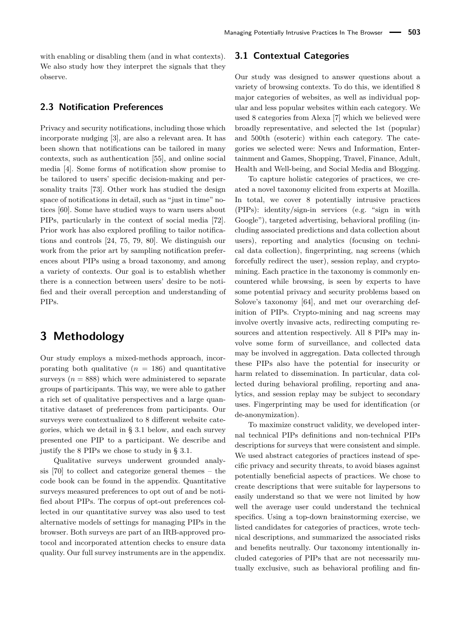with enabling or disabling them (and in what contexts). We also study how they interpret the signals that they observe.

# **2.3 Notification Preferences**

Privacy and security notifications, including those which incorporate nudging [\[3\]](#page-15-20), are also a relevant area. It has been shown that notifications can be tailored in many contexts, such as authentication [\[55\]](#page-16-21), and online social media [\[4\]](#page-15-21). Some forms of notification show promise to be tailored to users' specific decision-making and personality traits [\[73\]](#page-17-15). Other work has studied the design space of notifications in detail, such as "just in time" notices [\[60\]](#page-17-16). Some have studied ways to warn users about PIPs, particularly in the context of social media [\[72\]](#page-17-17). Prior work has also explored profiling to tailor notifications and controls [\[24,](#page-15-22) [75,](#page-17-18) [79,](#page-17-6) [80\]](#page-17-19). We distinguish our work from the prior art by sampling notification preferences about PIPs using a broad taxonomy, and among a variety of contexts. Our goal is to establish whether there is a connection between users' desire to be notified and their overall perception and understanding of PIPs.

# **3 Methodology**

Our study employs a mixed-methods approach, incorporating both qualitative  $(n = 186)$  and quantitative surveys  $(n = 888)$  which were administered to separate groups of participants. This way, we were able to gather a rich set of qualitative perspectives and a large quantitative dataset of preferences from participants. Our surveys were contextualized to 8 different website categories, which we detail in § [3.1](#page-3-0) below, and each survey presented one PIP to a participant. We describe and justify the 8 PIPs we chose to study in § [3.1.](#page-3-0)

Qualitative surveys underwent grounded analysis [\[70\]](#page-17-20) to collect and categorize general themes – the code book can be found in the appendix. Quantitative surveys measured preferences to opt out of and be notified about PIPs. The corpus of opt-out preferences collected in our quantitative survey was also used to test alternative models of settings for managing PIPs in the browser. Both surveys are part of an IRB-approved protocol and incorporated attention checks to ensure data quality. Our full survey instruments are in the appendix.

### <span id="page-3-0"></span>**3.1 Contextual Categories**

Our study was designed to answer questions about a variety of browsing contexts. To do this, we identified 8 major categories of websites, as well as individual popular and less popular websites within each category. We used 8 categories from Alexa [\[7\]](#page-15-23) which we believed were broadly representative, and selected the 1st (popular) and 500th (esoteric) within each category. The categories we selected were: News and Information, Entertainment and Games, Shopping, Travel, Finance, Adult, Health and Well-being, and Social Media and Blogging.

To capture holistic categories of practices, we created a novel taxonomy elicited from experts at Mozilla. In total, we cover 8 potentially intrusive practices (PIPs): identity/sign-in services (e.g. "sign in with Google"), targeted advertising, behavioral profiling (including associated predictions and data collection about users), reporting and analytics (focusing on technical data collection), fingerprinting, nag screens (which forcefully redirect the user), session replay, and cryptomining. Each practice in the taxonomy is commonly encountered while browsing, is seen by experts to have some potential privacy and security problems based on Solove's taxonomy [\[64\]](#page-17-0), and met our overarching definition of PIPs. Crypto-mining and nag screens may involve overtly invasive acts, redirecting computing resources and attention respectively. All 8 PIPs may involve some form of surveillance, and collected data may be involved in aggregation. Data collected through these PIPs also have the potential for insecurity or harm related to dissemination. In particular, data collected during behavioral profiling, reporting and analytics, and session replay may be subject to secondary uses. Fingerprinting may be used for identification (or de-anonymization).

To maximize construct validity, we developed internal technical PIPs definitions and non-technical PIPs descriptions for surveys that were consistent and simple. We used abstract categories of practices instead of specific privacy and security threats, to avoid biases against potentially beneficial aspects of practices. We chose to create descriptions that were suitable for laypersons to easily understand so that we were not limited by how well the average user could understand the technical specifics. Using a top-down brainstorming exercise, we listed candidates for categories of practices, wrote technical descriptions, and summarized the associated risks and benefits neutrally. Our taxonomy intentionally included categories of PIPs that are not necessarily mutually exclusive, such as behavioral profiling and fin-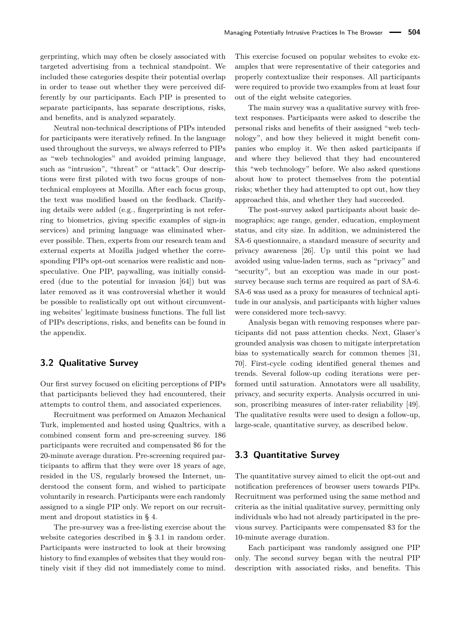gerprinting, which may often be closely associated with targeted advertising from a technical standpoint. We included these categories despite their potential overlap in order to tease out whether they were perceived differently by our participants. Each PIP is presented to separate participants, has separate descriptions, risks, and benefits, and is analyzed separately.

Neutral non-technical descriptions of PIPs intended for participants were iteratively refined. In the language used throughout the surveys, we always referred to PIPs as "web technologies" and avoided priming language, such as "intrusion", "threat" or "attack". Our descriptions were first piloted with two focus groups of nontechnical employees at Mozilla. After each focus group, the text was modified based on the feedback. Clarifying details were added (e.g., fingerprinting is not referring to biometrics, giving specific examples of sign-in services) and priming language was eliminated wherever possible. Then, experts from our research team and external experts at Mozilla judged whether the corresponding PIPs opt-out scenarios were realistic and nonspeculative. One PIP, paywalling, was initially considered (due to the potential for invasion [\[64\]](#page-17-0)) but was later removed as it was controversial whether it would be possible to realistically opt out without circumventing websites' legitimate business functions. The full list of PIPs descriptions, risks, and benefits can be found in the appendix.

# **3.2 Qualitative Survey**

Our first survey focused on eliciting perceptions of PIPs that participants believed they had encountered, their attempts to control them, and associated experiences.

Recruitment was performed on Amazon Mechanical Turk, implemented and hosted using Qualtrics, with a combined consent form and pre-screening survey. 186 participants were recruited and compensated \$6 for the 20-minute average duration. Pre-screening required participants to affirm that they were over 18 years of age, resided in the US, regularly browsed the Internet, understood the consent form, and wished to participate voluntarily in research. Participants were each randomly assigned to a single PIP only. We report on our recruitment and dropout statistics in § [4.](#page-6-0)

The pre-survey was a free-listing exercise about the website categories described in § [3.1](#page-3-0) in random order. Participants were instructed to look at their browsing history to find examples of websites that they would routinely visit if they did not immediately come to mind.

This exercise focused on popular websites to evoke examples that were representative of their categories and properly contextualize their responses. All participants were required to provide two examples from at least four out of the eight website categories.

The main survey was a qualitative survey with freetext responses. Participants were asked to describe the personal risks and benefits of their assigned "web technology", and how they believed it might benefit companies who employ it. We then asked participants if and where they believed that they had encountered this "web technology" before. We also asked questions about how to protect themselves from the potential risks; whether they had attempted to opt out, how they approached this, and whether they had succeeded.

The post-survey asked participants about basic demographics; age range, gender, education, employment status, and city size. In addition, we administered the SA-6 questionnaire, a standard measure of security and privacy awareness [\[26\]](#page-15-24). Up until this point we had avoided using value-laden terms, such as "privacy" and "security", but an exception was made in our postsurvey because such terms are required as part of SA-6. SA-6 was used as a proxy for measures of technical aptitude in our analysis, and participants with higher values were considered more tech-savvy.

Analysis began with removing responses where participants did not pass attention checks. Next, Glaser's grounded analysis was chosen to mitigate interpretation bias to systematically search for common themes [\[31,](#page-16-22) [70\]](#page-17-20). First-cycle coding identified general themes and trends. Several follow-up coding iterations were performed until saturation. Annotators were all usability, privacy, and security experts. Analysis occurred in unison, proscribing measures of inter-rater reliability [\[49\]](#page-16-23). The qualitative results were used to design a follow-up, large-scale, quantitative survey, as described below.

### **3.3 Quantitative Survey**

The quantitative survey aimed to elicit the opt-out and notification preferences of browser users towards PIPs. Recruitment was performed using the same method and criteria as the initial qualitative survey, permitting only individuals who had not already participated in the previous survey. Participants were compensated \$3 for the 10-minute average duration.

Each participant was randomly assigned one PIP only. The second survey began with the neutral PIP description with associated risks, and benefits. This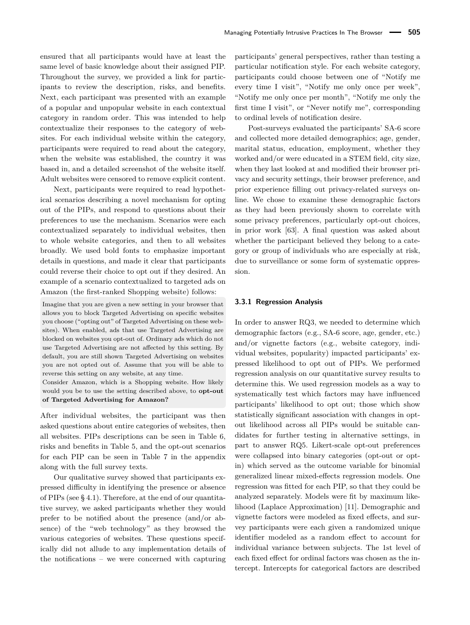ensured that all participants would have at least the same level of basic knowledge about their assigned PIP. Throughout the survey, we provided a link for participants to review the description, risks, and benefits. Next, each participant was presented with an example of a popular and unpopular website in each contextual category in random order. This was intended to help contextualize their responses to the category of websites. For each individual website within the category, participants were required to read about the category, when the website was established, the country it was based in, and a detailed screenshot of the website itself. Adult websites were censored to remove explicit content.

Next, participants were required to read hypothetical scenarios describing a novel mechanism for opting out of the PIPs, and respond to questions about their preferences to use the mechanism. Scenarios were each contextualized separately to individual websites, then to whole website categories, and then to all websites broadly. We used bold fonts to emphasize important details in questions, and made it clear that participants could reverse their choice to opt out if they desired. An example of a scenario contextualized to targeted ads on Amazon (the first-ranked Shopping website) follows:

Imagine that you are given a new setting in your browser that allows you to block Targeted Advertising on specific websites you choose ("opting out" of Targeted Advertising on these websites). When enabled, ads that use Targeted Advertising are blocked on websites you opt-out of. Ordinary ads which do not use Targeted Advertising are not affected by this setting. By default, you are still shown Targeted Advertising on websites you are not opted out of. Assume that you will be able to reverse this setting on any website, at any time.

Consider Amazon, which is a Shopping website. How likely would you be to use the setting described above, to **opt-out of Targeted Advertising for Amazon?**

After individual websites, the participant was then asked questions about entire categories of websites, then all websites. PIPs descriptions can be seen in Table [6,](#page-20-0) risks and benefits in Table [5,](#page-19-0) and the opt-out scenarios for each PIP can be seen in Table [7](#page-21-0) in the appendix along with the full survey texts.

Our qualitative survey showed that participants expressed difficulty in identifying the presence or absence of PIPs (see § [4.1\)](#page-6-1). Therefore, at the end of our quantitative survey, we asked participants whether they would prefer to be notified about the presence (and/or absence) of the "web technology" as they browsed the various categories of websites. These questions specifically did not allude to any implementation details of the notifications – we were concerned with capturing participants' general perspectives, rather than testing a particular notification style. For each website category, participants could choose between one of "Notify me every time I visit", "Notify me only once per week", "Notify me only once per month", "Notify me only the first time I visit", or "Never notify me", corresponding to ordinal levels of notification desire.

Post-surveys evaluated the participants' SA-6 score and collected more detailed demographics; age, gender, marital status, education, employment, whether they worked and/or were educated in a STEM field, city size, when they last looked at and modified their browser privacy and security settings, their browser preference, and prior experience filling out privacy-related surveys online. We chose to examine these demographic factors as they had been previously shown to correlate with some privacy preferences, particularly opt-out choices, in prior work [\[63\]](#page-17-21). A final question was asked about whether the participant believed they belong to a category or group of individuals who are especially at risk, due to surveillance or some form of systematic oppression.

#### <span id="page-5-0"></span>**3.3.1 Regression Analysis**

In order to answer RQ3, we needed to determine which demographic factors (e.g., SA-6 score, age, gender, etc.) and/or vignette factors (e.g., website category, individual websites, popularity) impacted participants' expressed likelihood to opt out of PIPs. We performed regression analysis on our quantitative survey results to determine this. We used regression models as a way to systematically test which factors may have influenced participants' likelihood to opt out; those which show statistically significant association with changes in optout likelihood across all PIPs would be suitable candidates for further testing in alternative settings, in part to answer RQ5. Likert-scale opt-out preferences were collapsed into binary categories (opt-out or optin) which served as the outcome variable for binomial generalized linear mixed-effects regression models. One regression was fitted for each PIP, so that they could be analyzed separately. Models were fit by maximum likelihood (Laplace Approximation) [\[11\]](#page-15-25). Demographic and vignette factors were modeled as fixed effects, and survey participants were each given a randomized unique identifier modeled as a random effect to account for individual variance between subjects. The 1st level of each fixed effect for ordinal factors was chosen as the intercept. Intercepts for categorical factors are described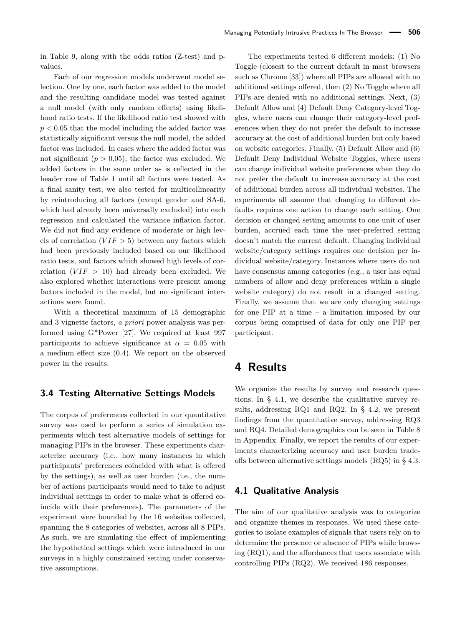in Table [9,](#page-26-0) along with the odds ratios (Z-test) and pvalues.

Each of our regression models underwent model selection. One by one, each factor was added to the model and the resulting candidate model was tested against a null model (with only random effects) using likelihood ratio tests. If the likelihood ratio test showed with *p <* 0*.*05 that the model including the added factor was statistically significant versus the null model, the added factor was included. In cases where the added factor was not significant  $(p > 0.05)$ , the factor was excluded. We added factors in the same order as is reflected in the header row of Table [1](#page-10-0) until all factors were tested. As a final sanity test, we also tested for multicollinearity by reintroducing all factors (except gender and SA-6, which had already been universally excluded) into each regression and calculated the variance inflation factor. We did not find any evidence of moderate or high levels of correlation  $(VIF > 5)$  between any factors which had been previously included based on our likelihood ratio tests, and factors which showed high levels of correlation  $(VIF > 10)$  had already been excluded. We also explored whether interactions were present among factors included in the model, but no significant interactions were found.

With a theoretical maximum of 15 demographic and 3 vignette factors, *a priori* power analysis was performed using G\*Power [\[27\]](#page-15-26). We required at least 997 participants to achieve significance at  $\alpha = 0.05$  with a medium effect size (0.4). We report on the observed power in the results.

# <span id="page-6-2"></span>**3.4 Testing Alternative Settings Models**

The corpus of preferences collected in our quantitative survey was used to perform a series of simulation experiments which test alternative models of settings for managing PIPs in the browser. These experiments characterize accuracy (i.e., how many instances in which participants' preferences coincided with what is offered by the settings), as well as user burden (i.e., the number of actions participants would need to take to adjust individual settings in order to make what is offered coincide with their preferences). The parameters of the experiment were bounded by the 16 websites collected, spanning the 8 categories of websites, across all 8 PIPs. As such, we are simulating the effect of implementing the hypothetical settings which were introduced in our surveys in a highly constrained setting under conservative assumptions.

The experiments tested 6 different models: (1) No Toggle (closest to the current default in most browsers such as Chrome [\[33\]](#page-16-15)) where all PIPs are allowed with no additional settings offered, then (2) No Toggle where all PIPs are denied with no additional settings. Next, (3) Default Allow and (4) Default Deny Category-level Toggles, where users can change their category-level preferences when they do not prefer the default to increase accuracy at the cost of additional burden but only based on website categories. Finally, (5) Default Allow and (6) Default Deny Individual Website Toggles, where users can change individual website preferences when they do not prefer the default to increase accuracy at the cost of additional burden across all individual websites. The experiments all assume that changing to different defaults requires one action to change each setting. One decision or changed setting amounts to one unit of user burden, accrued each time the user-preferred setting doesn't match the current default. Changing individual website/category settings requires one decision per individual website/category. Instances where users do not have consensus among categories (e.g., a user has equal numbers of allow and deny preferences within a single website category) do not result in a changed setting. Finally, we assume that we are only changing settings for one PIP at a time – a limitation imposed by our corpus being comprised of data for only one PIP per participant.

# <span id="page-6-0"></span>**4 Results**

We organize the results by survey and research questions. In § [4.1,](#page-6-1) we describe the qualitative survey results, addressing RQ1 and RQ2. In § [4.2,](#page-8-0) we present findings from the quantitative survey, addressing RQ3 and RQ4. Detailed demographics can be seen in Table [8](#page-25-0) in Appendix. Finally, we report the results of our experiments characterizing accuracy and user burden tradeoffs between alternative settings models (RQ5) in § [4.3.](#page-9-0)

### <span id="page-6-1"></span>**4.1 Qualitative Analysis**

The aim of our qualitative analysis was to categorize and organize themes in responses. We used these categories to isolate examples of signals that users rely on to determine the presence or absence of PIPs while browsing (RQ1), and the affordances that users associate with controlling PIPs (RQ2). We received 186 responses.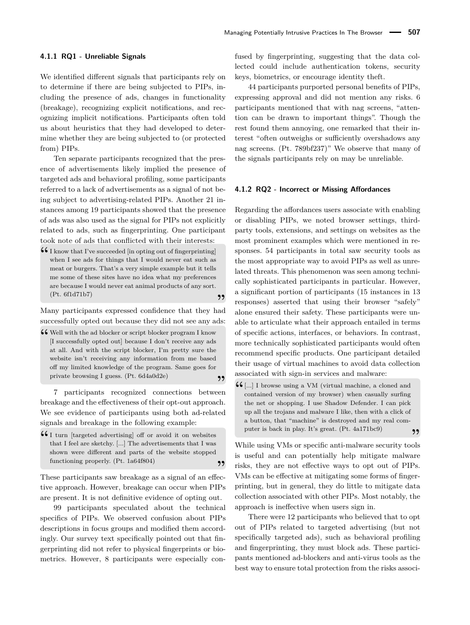#### **4.1.1 RQ1 - Unreliable Signals**

We identified different signals that participants rely on to determine if there are being subjected to PIPs, including the presence of ads, changes in functionality (breakage), recognizing explicit notifications, and recognizing implicit notifications. Participants often told us about heuristics that they had developed to determine whether they are being subjected to (or protected from) PIPs.

Ten separate participants recognized that the presence of advertisements likely implied the presence of targeted ads and behavioral profiling, some participants referred to a lack of advertisements as a signal of not being subject to advertising-related PIPs. Another 21 instances among 19 participants showed that the presence of ads was also used as the signal for PIPs not explicitly related to ads, such as fingerprinting. One participant took note of ads that conflicted with their interests:

**46** I know that I've succeeded [in opting out of fingerprinting]<br>when I see ads for things that I would never eat such as when I see ads for things that I would never eat such as meat or burgers. That's a very simple example but it tells me some of these sites have no idea what my preferences are because I would never eat animal products of any sort. (Pt. 6f1d71b7) **"**

Many participants expressed confidence that they had successfully opted out because they did not see any ads:

**46** Well with the ad blocker or script blocker program I know II successfully onted outl because I don't receive any ads [I successfully opted out] because I don't receive any ads at all. And with the script blocker, I'm pretty sure the website isn't receiving any information from me based off my limited knowledge of the program. Same goes for private browsing I guess. (Pt. 6d4a0d2e) **"**

7 participants recognized connections between breakage and the effectiveness of their opt-out approach. We see evidence of participants using both ad-related signals and breakage in the following example:

 $\begin{array}{c} \n\textbf{4} \text{ I turn [targeted advertising] off or avoid it on websites that I feel are sketchv [ 1 The advertisements that I was) \n\end{array}$ that I feel are sketchy. [...] The advertisements that I was shown were different and parts of the website stopped functioning properly. (Pt. 1a64f804) **"**

These participants saw breakage as a signal of an effective approach. However, breakage can occur when PIPs are present. It is not definitive evidence of opting out.

99 participants speculated about the technical specifics of PIPs. We observed confusion about PIPs descriptions in focus groups and modified them accordingly. Our survey text specifically pointed out that fingerprinting did not refer to physical fingerprints or biometrics. However, 8 participants were especially con-

fused by fingerprinting, suggesting that the data collected could include authentication tokens, security keys, biometrics, or encourage identity theft.

44 participants purported personal benefits of PIPs, expressing approval and did not mention any risks. 6 participants mentioned that with nag screens, "attention can be drawn to important things". Though the rest found them annoying, one remarked that their interest "often outweighs or sufficiently overshadows any nag screens. (Pt. 789bf237)" We observe that many of the signals participants rely on may be unreliable.

#### <span id="page-7-0"></span>**4.1.2 RQ2 - Incorrect or Missing Affordances**

Regarding the affordances users associate with enabling or disabling PIPs, we noted browser settings, thirdparty tools, extensions, and settings on websites as the most prominent examples which were mentioned in responses. 54 participants in total saw security tools as the most appropriate way to avoid PIPs as well as unrelated threats. This phenomenon was seen among technically sophisticated participants in particular. However, a significant portion of participants (15 instances in 13 responses) asserted that using their browser "safely" alone ensured their safety. These participants were unable to articulate what their approach entailed in terms of specific actions, interfaces, or behaviors. In contrast, more technically sophisticated participants would often recommend specific products. One participant detailed their usage of virtual machines to avoid data collection associated with sign-in services and malware:

**46** [...] I browse using a VM (virtual machine, a cloned and contained version of my browser) when casually surfine contained version of my browser) when casually surfing the net or shopping. I use Shadow Defender. I can pick up all the trojans and malware I like, then with a click of a button, that "machine" is destroyed and my real computer is back in play. It's great. (Pt. 4a171bc9) **"**

While using VMs or specific anti-malware security tools is useful and can potentially help mitigate malware risks, they are not effective ways to opt out of PIPs. VMs can be effective at mitigating some forms of fingerprinting, but in general, they do little to mitigate data collection associated with other PIPs. Most notably, the approach is ineffective when users sign in.

There were 12 participants who believed that to opt out of PIPs related to targeted advertising (but not specifically targeted ads), such as behavioral profiling and fingerprinting, they must block ads. These participants mentioned ad-blockers and anti-virus tools as the best way to ensure total protection from the risks associ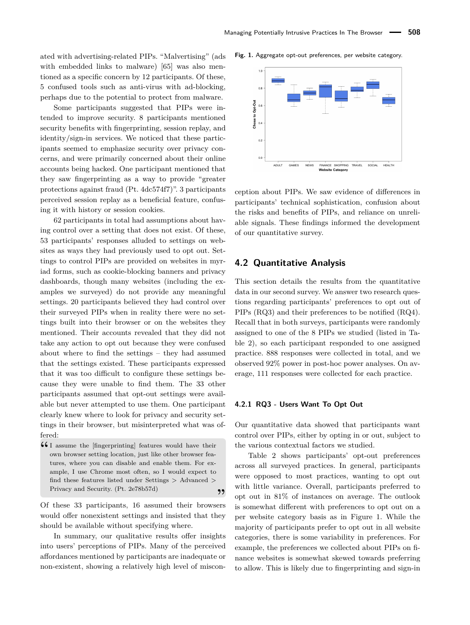<span id="page-8-1"></span>**Fig. 1.** Aggregate opt-out preferences, per website category.

ated with advertising-related PIPs. "Malvertising" (ads with embedded links to malware) [\[65\]](#page-17-22) was also mentioned as a specific concern by 12 participants. Of these, 5 confused tools such as anti-virus with ad-blocking, perhaps due to the potential to protect from malware.

Some participants suggested that PIPs were intended to improve security. 8 participants mentioned security benefits with fingerprinting, session replay, and identity/sign-in services. We noticed that these participants seemed to emphasize security over privacy concerns, and were primarily concerned about their online accounts being hacked. One participant mentioned that they saw fingerprinting as a way to provide "greater protections against fraud (Pt. 4dc574f7)". 3 participants perceived session replay as a beneficial feature, confusing it with history or session cookies.

62 participants in total had assumptions about having control over a setting that does not exist. Of these, 53 participants' responses alluded to settings on websites as ways they had previously used to opt out. Settings to control PIPs are provided on websites in myriad forms, such as cookie-blocking banners and privacy dashboards, though many websites (including the examples we surveyed) do not provide any meaningful settings. 20 participants believed they had control over their surveyed PIPs when in reality there were no settings built into their browser or on the websites they mentioned. Their accounts revealed that they did not take any action to opt out because they were confused about where to find the settings – they had assumed that the settings existed. These participants expressed that it was too difficult to configure these settings because they were unable to find them. The 33 other participants assumed that opt-out settings were available but never attempted to use them. One participant clearly knew where to look for privacy and security settings in their browser, but misinterpreted what was offered:

**44** I assume the [fingerprinting] features would have their own browser setting location, just like other browser feaown browser setting location, just like other browser features, where you can disable and enable them. For example, I use Chrome most often, so I would expect to find these features listed under Settings > Advanced > Privacy and Security. (Pt. 2e78b57d) **"**

Of these 33 participants, 16 assumed their browsers would offer nonexistent settings and insisted that they should be available without specifying where.

In summary, our qualitative results offer insights into users' perceptions of PIPs. Many of the perceived affordances mentioned by participants are inadequate or non-existent, showing a relatively high level of miscon-

 $1.0$  $0.8$ Chose to Opt-Out<br> $\frac{6}{x}$  $0.2$  $\mathbf{a}$ SOCIAL **ADULT** GAMES **NEWS** FINANCE SHOPPING **TRAVEL HEALTH Website Category** 

ception about PIPs. We saw evidence of differences in participants' technical sophistication, confusion about the risks and benefits of PIPs, and reliance on unreliable signals. These findings informed the development of our quantitative survey.

### <span id="page-8-0"></span>**4.2 Quantitative Analysis**

This section details the results from the quantitative data in our second survey. We answer two research questions regarding participants' preferences to opt out of PIPs (RQ3) and their preferences to be notified (RQ4). Recall that in both surveys, participants were randomly assigned to one of the 8 PIPs we studied (listed in Table [2\)](#page-10-1), so each participant responded to one assigned practice. 888 responses were collected in total, and we observed 92% power in post-hoc power analyses. On average, 111 responses were collected for each practice.

#### **4.2.1 RQ3 - Users Want To Opt Out**

Our quantitative data showed that participants want control over PIPs, either by opting in or out, subject to the various contextual factors we studied.

Table [2](#page-10-1) shows participants' opt-out preferences across all surveyed practices. In general, participants were opposed to most practices, wanting to opt out with little variance. Overall, participants preferred to opt out in 81% of instances on average. The outlook is somewhat different with preferences to opt out on a per website category basis as in Figure [1.](#page-8-1) While the majority of participants prefer to opt out in all website categories, there is some variability in preferences. For example, the preferences we collected about PIPs on finance websites is somewhat skewed towards preferring to allow. This is likely due to fingerprinting and sign-in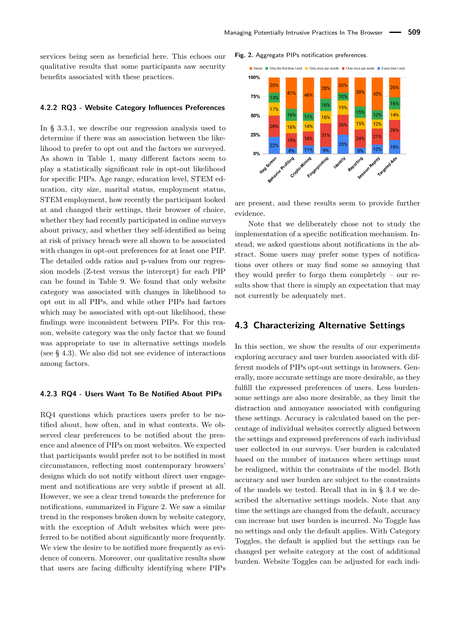services being seen as beneficial here. This echoes our qualitative results that some participants saw security benefits associated with these practices.

#### **4.2.2 RQ3 - Website Category Influences Preferences**

In § [3.3.1,](#page-5-0) we describe our regression analysis used to determine if there was an association between the likelihood to prefer to opt out and the factors we surveyed. As shown in Table [1,](#page-10-0) many different factors seem to play a statistically significant role in opt-out likelihood for specific PIPs. Age range, education level, STEM education, city size, marital status, employment status, STEM employment, how recently the participant looked at and changed their settings, their browser of choice, whether they had recently participated in online surveys about privacy, and whether they self-identified as being at risk of privacy breach were all shown to be associated with changes in opt-out preferences for at least one PIP. The detailed odds ratios and p-values from our regression models (Z-test versus the intercept) for each PIP can be found in Table [9.](#page-26-0) We found that only website category was associated with changes in likelihood to opt out in all PIPs, and while other PIPs had factors which may be associated with opt-out likelihood, these findings were inconsistent between PIPs. For this reason, website category was the only factor that we found was appropriate to use in alternative settings models (see § [4.3\)](#page-9-0). We also did not see evidence of interactions among factors.

#### **4.2.3 RQ4 - Users Want To Be Notified About PIPs**

RQ4 questions which practices users prefer to be notified about, how often, and in what contexts. We observed clear preferences to be notified about the presence and absence of PIPs on most websites. We expected that participants would prefer not to be notified in most circumstances, reflecting most contemporary browsers' designs which do not notify without direct user engagement and notifications are very subtle if present at all. However, we see a clear trend towards the preference for notifications, summarized in Figure [2.](#page-9-1) We saw a similar trend in the responses broken down by website category, with the exception of Adult websites which were preferred to be notified about significantly more frequently. We view the desire to be notified more frequently as evidence of concern. Moreover, our qualitative results show that users are facing difficulty identifying where PIPs

#### <span id="page-9-1"></span>**Fig. 2.** Aggregate PIPs notification preferences.



are present, and these results seem to provide further evidence.

Note that we deliberately chose not to study the implementation of a specific notification mechanism. Instead, we asked questions about notifications in the abstract. Some users may prefer some types of notifications over others or may find some so annoying that they would prefer to forgo them completely – our results show that there is simply an expectation that may not currently be adequately met.

### <span id="page-9-0"></span>**4.3 Characterizing Alternative Settings**

In this section, we show the results of our experiments exploring accuracy and user burden associated with different models of PIPs opt-out settings in browsers. Generally, more accurate settings are more desirable, as they fulfill the expressed preferences of users. Less burdensome settings are also more desirable, as they limit the distraction and annoyance associated with configuring these settings. Accuracy is calculated based on the percentage of individual websites correctly aligned between the settings and expressed preferences of each individual user collected in our surveys. User burden is calculated based on the number of instances where settings must be realigned, within the constraints of the model. Both accuracy and user burden are subject to the constraints of the models we tested. Recall that in in § [3.4](#page-6-2) we described the alternative settings models. Note that any time the settings are changed from the default, accuracy can increase but user burden is incurred. No Toggle has no settings and only the default applies. With Category Toggles, the default is applied but the settings can be changed per website category at the cost of additional burden. Website Toggles can be adjusted for each indi-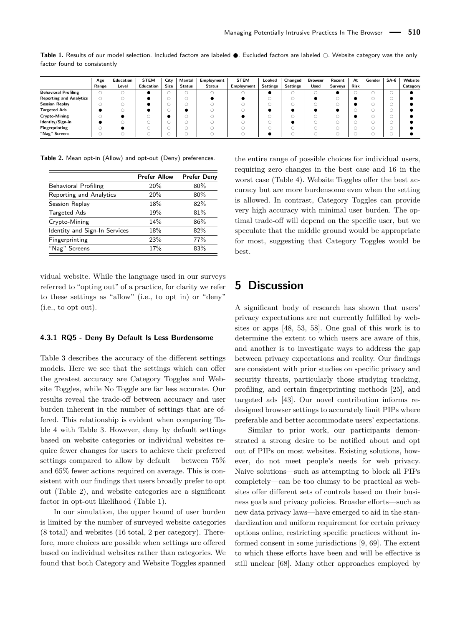<span id="page-10-0"></span>

|                              |  |  | Table 1. Results of our model selection. Included factors are labeled $\bullet$ . Excluded factors are labeled $\odot$ . Website category was the only |  |  |  |  |
|------------------------------|--|--|--------------------------------------------------------------------------------------------------------------------------------------------------------|--|--|--|--|
| factor found to consistently |  |  |                                                                                                                                                        |  |  |  |  |

|                                | Age   | Education | <b>STEM</b> | City        | Marital       | Employment    | <b>STEM</b>       | Looked          | Changed         | <b>Browser</b> | Recent  | At          | Gender | $SA-6$ | Website  |
|--------------------------------|-------|-----------|-------------|-------------|---------------|---------------|-------------------|-----------------|-----------------|----------------|---------|-------------|--------|--------|----------|
|                                | Range | Level     | Education   | <b>Size</b> | <b>Status</b> | <b>Status</b> | <b>Employment</b> | <b>Settings</b> | <b>Settings</b> | Used           | Surveys | <b>Risk</b> |        |        | Category |
| <b>Behavioral Profiling</b>    |       |           |             |             |               |               |                   |                 |                 |                |         |             |        |        |          |
| <b>Reporting and Analytics</b> |       |           |             |             |               |               |                   |                 |                 |                |         |             |        |        |          |
| <b>Session Replay</b>          |       |           |             |             |               |               |                   |                 |                 |                |         |             |        |        |          |
| <b>Targeted Ads</b>            |       |           |             |             |               |               |                   |                 |                 |                |         |             |        |        |          |
| Crypto-Mining                  |       |           |             |             |               |               |                   |                 |                 |                |         |             |        |        |          |
| Identity/Sign-in               |       |           |             |             |               |               |                   |                 |                 |                |         | U.          |        |        |          |
| <b>Fingerprinting</b>          |       |           |             |             |               |               |                   |                 |                 |                |         | v.          |        |        |          |
| "Nag" Screens                  |       |           |             |             |               |               |                   |                 |                 |                |         |             |        |        |          |

<span id="page-10-1"></span>**Table 2.** Mean opt-in (Allow) and opt-out (Deny) preferences.

|                               | <b>Prefer Allow</b> | <b>Prefer Deny</b> |
|-------------------------------|---------------------|--------------------|
| Behavioral Profiling          | 20%                 | 80%                |
| Reporting and Analytics       | 20%                 | 80%                |
| Session Replay                | 18%                 | 82%                |
| <b>Targeted Ads</b>           | 19%                 | 81%                |
| Crypto-Mining                 | 14%                 | 86%                |
| Identity and Sign-In Services | 18%                 | 82%                |
| Fingerprinting                | 23%                 | 77%                |
| "Nag" Screens                 | 17%                 | 83%                |

vidual website. While the language used in our surveys referred to "opting out" of a practice, for clarity we refer to these settings as "allow" (i.e., to opt in) or "deny" (i.e., to opt out).

#### **4.3.1 RQ5 - Deny By Default Is Less Burdensome**

Table [3](#page-11-0) describes the accuracy of the different settings models. Here we see that the settings which can offer the greatest accuracy are Category Toggles and Website Toggles, while No Toggle are far less accurate. Our results reveal the trade-off between accuracy and user burden inherent in the number of settings that are offered. This relationship is evident when comparing Table [4](#page-11-1) with Table [3.](#page-11-0) However, deny by default settings based on website categories or individual websites require fewer changes for users to achieve their preferred settings compared to allow by default – between 75% and 65% fewer actions required on average. This is consistent with our findings that users broadly prefer to opt out (Table [2\)](#page-10-1), and website categories are a significant factor in opt-out likelihood (Table [1\)](#page-10-0).

In our simulation, the upper bound of user burden is limited by the number of surveyed website categories (8 total) and websites (16 total, 2 per category). Therefore, more choices are possible when settings are offered based on individual websites rather than categories. We found that both Category and Website Toggles spanned

the entire range of possible choices for individual users, requiring zero changes in the best case and 16 in the worst case (Table [4\)](#page-11-1). Website Toggles offer the best accuracy but are more burdensome even when the setting is allowed. In contrast, Category Toggles can provide very high accuracy with minimal user burden. The optimal trade-off will depend on the specific user, but we speculate that the middle ground would be appropriate for most, suggesting that Category Toggles would be best.

# **5 Discussion**

A significant body of research has shown that users' privacy expectations are not currently fulfilled by websites or apps [\[48,](#page-16-20) [53,](#page-16-8) [58\]](#page-17-7). One goal of this work is to determine the extent to which users are aware of this, and another is to investigate ways to address the gap between privacy expectations and reality. Our findings are consistent with prior studies on specific privacy and security threats, particularly those studying tracking, profiling, and certain fingerprinting methods [\[25\]](#page-15-4), and targeted ads [\[43\]](#page-16-2). Our novel contribution informs redesigned browser settings to accurately limit PIPs where preferable and better accommodate users' expectations.

Similar to prior work, our participants demonstrated a strong desire to be notified about and opt out of PIPs on most websites. Existing solutions, however, do not meet people's needs for web privacy. Naive solutions—such as attempting to block all PIPs completely—can be too clumsy to be practical as websites offer different sets of controls based on their business goals and privacy policies. Broader efforts—such as new data privacy laws—have emerged to aid in the standardization and uniform requirement for certain privacy options online, restricting specific practices without informed consent in some jurisdictions [\[9,](#page-15-27) [69\]](#page-17-23). The extent to which these efforts have been and will be effective is still unclear [\[68\]](#page-17-24). Many other approaches employed by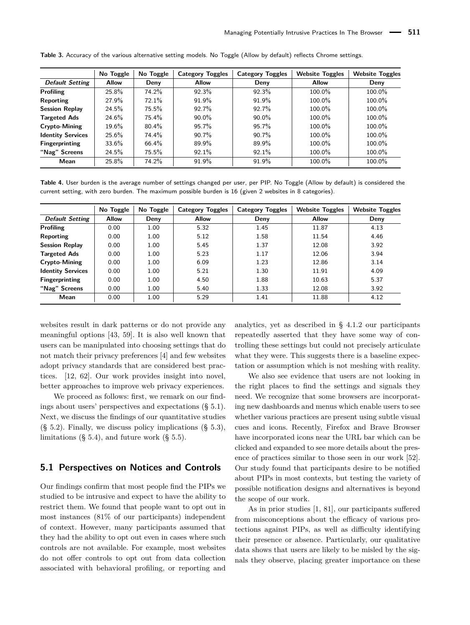|                          | No Toggle    | No Toggle | <b>Category Toggles</b> | <b>Category Toggles</b> | <b>Website Toggles</b> | <b>Website Toggles</b> |
|--------------------------|--------------|-----------|-------------------------|-------------------------|------------------------|------------------------|
| <b>Default Setting</b>   | <b>Allow</b> | Deny      | <b>Allow</b>            | Deny                    | <b>Allow</b>           | Deny                   |
| <b>Profiling</b>         | 25.8%        | 74.2%     | 92.3%                   | 92.3%                   | 100.0%                 | 100.0%                 |
| Reporting                | 27.9%        | 72.1%     | 91.9%                   | 91.9%                   | 100.0%                 | 100.0%                 |
| <b>Session Replay</b>    | 24.5%        | 75.5%     | 92.7%                   | 92.7%                   | 100.0%                 | 100.0%                 |
| <b>Targeted Ads</b>      | 24.6%        | 75.4%     | $90.0\%$                | $90.0\%$                | 100.0%                 | 100.0%                 |
| Crypto-Mining            | $19.6\%$     | $80.4\%$  | 95.7%                   | 95.7%                   | 100.0%                 | 100.0%                 |
| <b>Identity Services</b> | 25.6%        | 74.4%     | $90.7\%$                | $90.7\%$                | 100.0%                 | 100.0%                 |
| <b>Fingerprinting</b>    | $33.6\%$     | 66.4%     | 89.9%                   | 89.9%                   | 100.0%                 | 100.0%                 |
| "Nag" Screens            | 24.5%        | 75.5%     | 92.1%                   | 92.1%                   | 100.0%                 | 100.0%                 |
| Mean                     | 25.8%        | 74.2%     | 91.9%                   | 91.9%                   | 100.0%                 | 100.0%                 |

<span id="page-11-0"></span>Table 3. Accuracy of the various alternative setting models. No Toggle (Allow by default) reflects Chrome settings.

<span id="page-11-1"></span>**Table 4.** User burden is the average number of settings changed per user, per PIP. No Toggle (Allow by default) is considered the current setting, with zero burden. The maximum possible burden is 16 (given 2 websites in 8 categories).

|                          | No Toggle    | No Toggle | <b>Category Toggles</b> | <b>Category Toggles</b> | <b>Website Toggles</b> | <b>Website Toggles</b> |
|--------------------------|--------------|-----------|-------------------------|-------------------------|------------------------|------------------------|
| <b>Default Setting</b>   | <b>Allow</b> | Deny      | <b>Allow</b>            | Deny                    | <b>Allow</b>           | Deny                   |
| <b>Profiling</b>         | 0.00         | 1.00      | 5.32                    | 1.45                    | 11.87                  | 4.13                   |
| Reporting                | 0.00         | 1.00      | 5.12                    | 1.58                    | 11.54                  | 4.46                   |
| <b>Session Replay</b>    | 0.00         | 1.00      | 5.45                    | 1.37                    | 12.08                  | 3.92                   |
| <b>Targeted Ads</b>      | 0.00         | 1.00      | 5.23                    | 1.17                    | 12.06                  | 3.94                   |
| <b>Crypto-Mining</b>     | 0.00         | 1.00      | 6.09                    | 1.23                    | 12.86                  | 3.14                   |
| <b>Identity Services</b> | 0.00         | 1.00      | 5.21                    | 1.30                    | 11.91                  | 4.09                   |
| <b>Fingerprinting</b>    | 0.00         | 1.00      | 4.50                    | 1.88                    | 10.63                  | 5.37                   |
| "Nag" Screens            | 0.00         | 1.00      | 5.40                    | 1.33                    | 12.08                  | 3.92                   |
| Mean                     | 0.00         | 1.00      | 5.29                    | 1.41                    | 11.88                  | 4.12                   |

websites result in dark patterns or do not provide any meaningful options [\[43,](#page-16-2) [59\]](#page-17-25). It is also well known that users can be manipulated into choosing settings that do not match their privacy preferences [\[4\]](#page-15-21) and few websites adopt privacy standards that are considered best practices. [\[12,](#page-15-15) [62\]](#page-17-13). Our work provides insight into novel, better approaches to improve web privacy experiences.

We proceed as follows: first, we remark on our findings about users' perspectives and expectations (§ [5.1\)](#page-11-2). Next, we discuss the findings of our quantitative studies  $(\S$  [5.2\)](#page-12-0). Finally, we discuss policy implications  $(\S$  [5.3\)](#page-12-1), limitations  $(\S 5.4)$  $(\S 5.4)$ , and future work  $(\S 5.5)$  $(\S 5.5)$ .

# <span id="page-11-2"></span>**5.1 Perspectives on Notices and Controls**

Our findings confirm that most people find the PIPs we studied to be intrusive and expect to have the ability to restrict them. We found that people want to opt out in most instances (81% of our participants) independent of context. However, many participants assumed that they had the ability to opt out even in cases where such controls are not available. For example, most websites do not offer controls to opt out from data collection associated with behavioral profiling, or reporting and

analytics, yet as described in § [4.1.2](#page-7-0) our participants repeatedly asserted that they have some way of controlling these settings but could not precisely articulate what they were. This suggests there is a baseline expectation or assumption which is not meshing with reality.

We also see evidence that users are not looking in the right places to find the settings and signals they need. We recognize that some browsers are incorporating new dashboards and menus which enable users to see whether various practices are present using subtle visual cues and icons. Recently, Firefox and Brave Browser have incorporated icons near the URL bar which can be clicked and expanded to see more details about the presence of practices similar to those seen in our work [\[52\]](#page-16-24). Our study found that participants desire to be notified about PIPs in most contexts, but testing the variety of possible notification designs and alternatives is beyond the scope of our work.

As in prior studies [\[1,](#page-15-12) [81\]](#page-17-4), our participants suffered from misconceptions about the efficacy of various protections against PIPs, as well as difficulty identifying their presence or absence. Particularly, our qualitative data shows that users are likely to be misled by the signals they observe, placing greater importance on these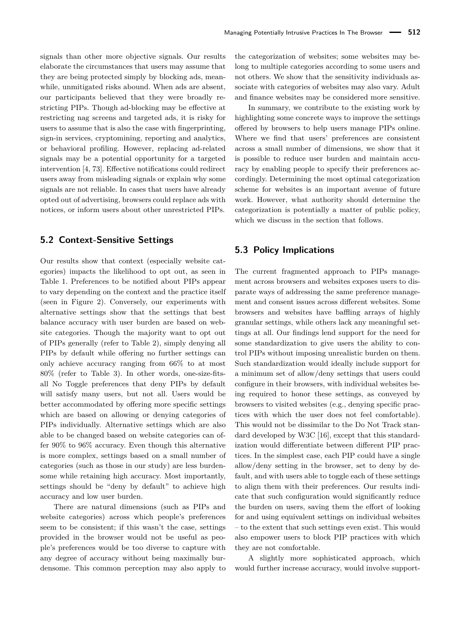signals than other more objective signals. Our results elaborate the circumstances that users may assume that they are being protected simply by blocking ads, meanwhile, unmitigated risks abound. When ads are absent, our participants believed that they were broadly restricting PIPs. Though ad-blocking may be effective at restricting nag screens and targeted ads, it is risky for users to assume that is also the case with fingerprinting, sign-in services, cryptomining, reporting and analytics, or behavioral profiling. However, replacing ad-related signals may be a potential opportunity for a targeted intervention [\[4,](#page-15-21) [73\]](#page-17-15). Effective notifications could redirect users away from misleading signals or explain why some signals are not reliable. In cases that users have already opted out of advertising, browsers could replace ads with notices, or inform users about other unrestricted PIPs.

# <span id="page-12-0"></span>**5.2 Context-Sensitive Settings**

Our results show that context (especially website categories) impacts the likelihood to opt out, as seen in Table [1.](#page-10-0) Preferences to be notified about PIPs appear to vary depending on the context and the practice itself (seen in Figure [2\)](#page-9-1). Conversely, our experiments with alternative settings show that the settings that best balance accuracy with user burden are based on website categories. Though the majority want to opt out of PIPs generally (refer to Table [2\)](#page-10-1), simply denying all PIPs by default while offering no further settings can only achieve accuracy ranging from 66% to at most 80% (refer to Table [3\)](#page-11-0). In other words, one-size-fitsall No Toggle preferences that deny PIPs by default will satisfy many users, but not all. Users would be better accommodated by offering more specific settings which are based on allowing or denying categories of PIPs individually. Alternative settings which are also able to be changed based on website categories can offer 90% to 96% accuracy. Even though this alternative is more complex, settings based on a small number of categories (such as those in our study) are less burdensome while retaining high accuracy. Most importantly, settings should be "deny by default" to achieve high accuracy and low user burden.

There are natural dimensions (such as PIPs and website categories) across which people's preferences seem to be consistent; if this wasn't the case, settings provided in the browser would not be useful as people's preferences would be too diverse to capture with any degree of accuracy without being maximally burdensome. This common perception may also apply to the categorization of websites; some websites may belong to multiple categories according to some users and not others. We show that the sensitivity individuals associate with categories of websites may also vary. Adult and finance websites may be considered more sensitive.

In summary, we contribute to the existing work by highlighting some concrete ways to improve the settings offered by browsers to help users manage PIPs online. Where we find that users' preferences are consistent across a small number of dimensions, we show that it is possible to reduce user burden and maintain accuracy by enabling people to specify their preferences accordingly. Determining the most optimal categorization scheme for websites is an important avenue of future work. However, what authority should determine the categorization is potentially a matter of public policy, which we discuss in the section that follows.

# <span id="page-12-1"></span>**5.3 Policy Implications**

The current fragmented approach to PIPs management across browsers and websites exposes users to disparate ways of addressing the same preference management and consent issues across different websites. Some browsers and websites have baffling arrays of highly granular settings, while others lack any meaningful settings at all. Our findings lend support for the need for some standardization to give users the ability to control PIPs without imposing unrealistic burden on them. Such standardization would ideally include support for a minimum set of allow/deny settings that users could configure in their browsers, with individual websites being required to honor these settings, as conveyed by browsers to visited websites (e.g., denying specific practices with which the user does not feel comfortable). This would not be dissimilar to the Do Not Track standard developed by W3C [\[16\]](#page-15-13), except that this standardization would differentiate between different PIP practices. In the simplest case, each PIP could have a single allow/deny setting in the browser, set to deny by default, and with users able to toggle each of these settings to align them with their preferences. Our results indicate that such configuration would significantly reduce the burden on users, saving them the effort of looking for and using equivalent settings on individual websites – to the extent that such settings even exist. This would also empower users to block PIP practices with which they are not comfortable.

A slightly more sophisticated approach, which would further increase accuracy, would involve support-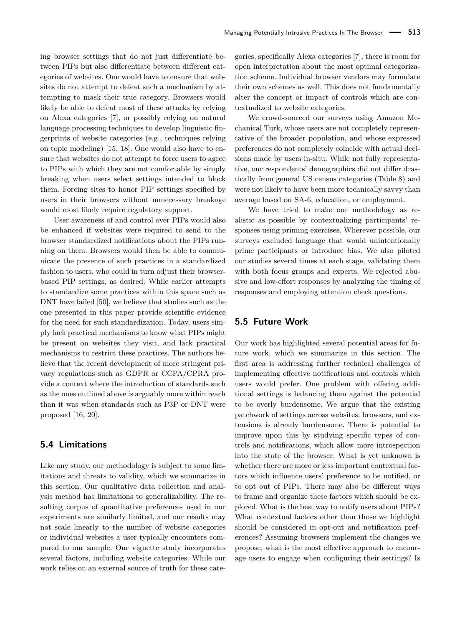ing browser settings that do not just differentiate between PIPs but also differentiate between different categories of websites. One would have to ensure that websites do not attempt to defeat such a mechanism by attempting to mask their true category. Browsers would likely be able to defeat most of these attacks by relying on Alexa categories [\[7\]](#page-15-23), or possibly relying on natural language processing techniques to develop linguistic fingerprints of website categories (e.g., techniques relying on topic modeling) [\[15,](#page-15-28) [18\]](#page-15-29). One would also have to ensure that websites do not attempt to force users to agree to PIPs with which they are not comfortable by simply breaking when users select settings intended to block them. Forcing sites to honor PIP settings specified by users in their browsers without unnecessary breakage would most likely require regulatory support.

User awareness of and control over PIPs would also be enhanced if websites were required to send to the browser standardized notifications about the PIPs running on them. Browsers would then be able to communicate the presence of such practices in a standardized fashion to users, who could in turn adjust their browserbased PIP settings, as desired. While earlier attempts to standardize some practices within this space such as DNT have failed [\[50\]](#page-16-11), we believe that studies such as the one presented in this paper provide scientific evidence for the need for such standardization. Today, users simply lack practical mechanisms to know what PIPs might be present on websites they visit, and lack practical mechanisms to restrict these practices. The authors believe that the recent development of more stringent privacy regulations such as GDPR or CCPA/CPRA provide a context where the introduction of standards such as the ones outlined above is arguably more within reach than it was when standards such as P3P or DNT were proposed [\[16,](#page-15-13) [20\]](#page-15-14).

### <span id="page-13-0"></span>**5.4 Limitations**

Like any study, our methodology is subject to some limitations and threats to validity, which we summarize in this section. Our qualitative data collection and analysis method has limitations to generalizability. The resulting corpus of quantitative preferences used in our experiments are similarly limited, and our results may not scale linearly to the number of website categories or individual websites a user typically encounters compared to our sample. Our vignette study incorporates several factors, including website categories. While our work relies on an external source of truth for these categories, specifically Alexa categories [\[7\]](#page-15-23), there is room for open interpretation about the most optimal categorization scheme. Individual browser vendors may formulate their own schemes as well. This does not fundamentally alter the concept or impact of controls which are contextualized to website categories.

We crowd-sourced our surveys using Amazon Mechanical Turk, whose users are not completely representative of the broader population, and whose expressed preferences do not completely coincide with actual decisions made by users in-situ. While not fully representative, our respondents' demographics did not differ drastically from general US census categories (Table [8\)](#page-25-0) and were not likely to have been more technically savvy than average based on SA-6, education, or employment.

We have tried to make our methodology as realistic as possible by contextualizing participants' responses using priming exercises. Wherever possible, our surveys excluded language that would unintentionally prime participants or introduce bias. We also piloted our studies several times at each stage, validating them with both focus groups and experts. We rejected abusive and low-effort responses by analyzing the timing of responses and employing attention check questions.

# <span id="page-13-1"></span>**5.5 Future Work**

Our work has highlighted several potential areas for future work, which we summarize in this section. The first area is addressing further technical challenges of implementing effective notifications and controls which users would prefer. One problem with offering additional settings is balancing them against the potential to be overly burdensome. We argue that the existing patchwork of settings across websites, browsers, and extensions is already burdensome. There is potential to improve upon this by studying specific types of controls and notifications, which allow more introspection into the state of the browser. What is yet unknown is whether there are more or less important contextual factors which influence users' preference to be notified, or to opt out of PIPs. There may also be different ways to frame and organize these factors which should be explored. What is the best way to notify users about PIPs? What contextual factors other than those we highlight should be considered in opt-out and notification preferences? Assuming browsers implement the changes we propose, what is the most effective approach to encourage users to engage when configuring their settings? Is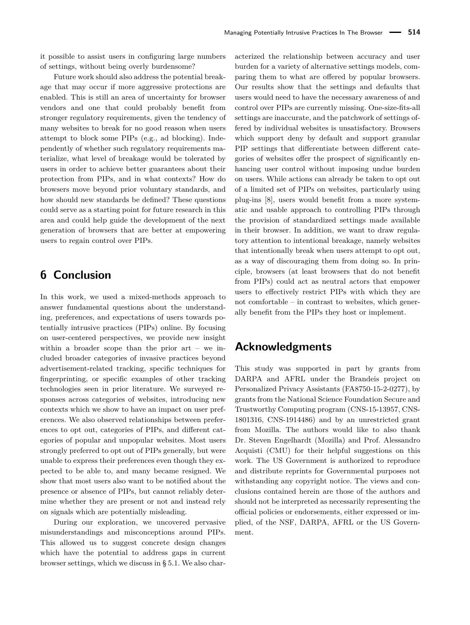it possible to assist users in configuring large numbers of settings, without being overly burdensome?

Future work should also address the potential breakage that may occur if more aggressive protections are enabled. This is still an area of uncertainty for browser vendors and one that could probably benefit from stronger regulatory requirements, given the tendency of many websites to break for no good reason when users attempt to block some PIPs (e.g., ad blocking). Independently of whether such regulatory requirements materialize, what level of breakage would be tolerated by users in order to achieve better guarantees about their protection from PIPs, and in what contexts? How do browsers move beyond prior voluntary standards, and how should new standards be defined? These questions could serve as a starting point for future research in this area and could help guide the development of the next generation of browsers that are better at empowering users to regain control over PIPs.

# **6 Conclusion**

In this work, we used a mixed-methods approach to answer fundamental questions about the understanding, preferences, and expectations of users towards potentially intrusive practices (PIPs) online. By focusing on user-centered perspectives, we provide new insight within a broader scope than the prior  $art - we$  included broader categories of invasive practices beyond advertisement-related tracking, specific techniques for fingerprinting, or specific examples of other tracking technologies seen in prior literature. We surveyed responses across categories of websites, introducing new contexts which we show to have an impact on user preferences. We also observed relationships between preferences to opt out, categories of PIPs, and different categories of popular and unpopular websites. Most users strongly preferred to opt out of PIPs generally, but were unable to express their preferences even though they expected to be able to, and many became resigned. We show that most users also want to be notified about the presence or absence of PIPs, but cannot reliably determine whether they are present or not and instead rely on signals which are potentially misleading.

During our exploration, we uncovered pervasive misunderstandings and misconceptions around PIPs. This allowed us to suggest concrete design changes which have the potential to address gaps in current browser settings, which we discuss in § [5.1.](#page-11-2) We also characterized the relationship between accuracy and user burden for a variety of alternative settings models, comparing them to what are offered by popular browsers. Our results show that the settings and defaults that users would need to have the necessary awareness of and control over PIPs are currently missing. One-size-fits-all settings are inaccurate, and the patchwork of settings offered by individual websites is unsatisfactory. Browsers which support deny by default and support granular PIP settings that differentiate between different categories of websites offer the prospect of significantly enhancing user control without imposing undue burden on users. While actions can already be taken to opt out of a limited set of PIPs on websites, particularly using plug-ins [\[8\]](#page-15-5), users would benefit from a more systematic and usable approach to controlling PIPs through the provision of standardized settings made available in their browser. In addition, we want to draw regulatory attention to intentional breakage, namely websites that intentionally break when users attempt to opt out, as a way of discouraging them from doing so. In principle, browsers (at least browsers that do not benefit from PIPs) could act as neutral actors that empower users to effectively restrict PIPs with which they are not comfortable – in contrast to websites, which generally benefit from the PIPs they host or implement.

# **Acknowledgments**

This study was supported in part by grants from DARPA and AFRL under the Brandeis project on Personalized Privacy Assistants (FA8750-15-2-0277), by grants from the National Science Foundation Secure and Trustworthy Computing program (CNS-15-13957, CNS-1801316, CNS-1914486) and by an unrestricted grant from Mozilla. The authors would like to also thank Dr. Steven Engelhardt (Mozilla) and Prof. Alessandro Acquisti (CMU) for their helpful suggestions on this work. The US Government is authorized to reproduce and distribute reprints for Governmental purposes not withstanding any copyright notice. The views and conclusions contained herein are those of the authors and should not be interpreted as necessarily representing the official policies or endorsements, either expressed or implied, of the NSF, DARPA, AFRL or the US Government.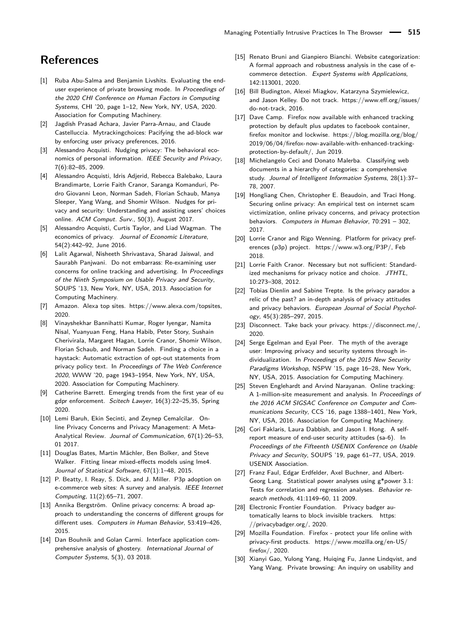# **References**

- <span id="page-15-12"></span>[1] Ruba Abu-Salma and Benjamin Livshits. Evaluating the enduser experience of private browsing mode. In Proceedings of the 2020 CHI Conference on Human Factors in Computing Systems, CHI '20, page 1–12, New York, NY, USA, 2020. Association for Computing Machinery.
- <span id="page-15-7"></span>[2] Jagdish Prasad Achara, Javier Parra-Arnau, and Claude Castelluccia. Mytrackingchoices: Pacifying the ad-block war by enforcing user privacy preferences, 2016.
- <span id="page-15-20"></span>[3] Alessandro Acquisti. Nudging privacy: The behavioral economics of personal information. IEEE Security and Privacy, 7(6):82–85, 2009.
- <span id="page-15-21"></span>[4] Alessandro Acquisti, Idris Adjerid, Rebecca Balebako, Laura Brandimarte, Lorrie Faith Cranor, Saranga Komanduri, Pedro Giovanni Leon, Norman Sadeh, Florian Schaub, Manya Sleeper, Yang Wang, and Shomir Wilson. Nudges for privacy and security: Understanding and assisting users' choices online. ACM Comput. Surv., 50(3), August 2017.
- <span id="page-15-0"></span>[5] Alessandro Acquisti, Curtis Taylor, and Liad Wagman. The economics of privacy. Journal of Economic Literature, 54(2):442–92, June 2016.
- <span id="page-15-1"></span>[6] Lalit Agarwal, Nisheeth Shrivastava, Sharad Jaiswal, and Saurabh Panjwani. Do not embarrass: Re-examining user concerns for online tracking and advertising. In Proceedings of the Ninth Symposium on Usable Privacy and Security, SOUPS '13, New York, NY, USA, 2013. Association for Computing Machinery.
- <span id="page-15-23"></span>[7] Amazon. Alexa top sites. [https://www.alexa.com/topsites,](https://www.alexa.com/topsites ) 2020.
- <span id="page-15-5"></span>[8] Vinayshekhar Bannihatti Kumar, Roger Iyengar, Namita Nisal, Yuanyuan Feng, Hana Habib, Peter Story, Sushain Cherivirala, Margaret Hagan, Lorrie Cranor, Shomir Wilson, Florian Schaub, and Norman Sadeh. Finding a choice in a haystack: Automatic extraction of opt-out statements from privacy policy text. In Proceedings of The Web Conference 2020, WWW '20, page 1943–1954, New York, NY, USA, 2020. Association for Computing Machinery.
- <span id="page-15-27"></span>[9] Catherine Barrett. Emerging trends from the first year of eu gdpr enforcement. Scitech Lawyer, 16(3):22–25,35, Spring 2020.
- <span id="page-15-9"></span>[10] Lemi Baruh, Ekin Secinti, and Zeynep Cemalcilar. Online Privacy Concerns and Privacy Management: A Meta-Analytical Review. Journal of Communication, 67(1):26–53, 01 2017.
- <span id="page-15-25"></span>[11] Douglas Bates, Martin Mächler, Ben Bolker, and Steve Walker. Fitting linear mixed-effects models using lme4. Journal of Statistical Software, 67(1):1–48, 2015.
- <span id="page-15-15"></span>[12] P. Beatty, I. Reay, S. Dick, and J. Miller. P3p adoption on e-commerce web sites: A survey and analysis. IEEE Internet Computing, 11(2):65–71, 2007.
- <span id="page-15-6"></span>[13] Annika Bergström. Online privacy concerns: A broad approach to understanding the concerns of different groups for different uses. Computers in Human Behavior, 53:419–426, 2015.
- <span id="page-15-17"></span>[14] Dan Bouhnik and Golan Carmi. Interface application comprehensive analysis of ghostery. International Journal of Computer Systems, 5(3), 03 2018.
- <span id="page-15-28"></span>[15] Renato Bruni and Gianpiero Bianchi. Website categorization: A formal approach and robustness analysis in the case of ecommerce detection. Expert Systems with Applications, 142:113001, 2020.
- <span id="page-15-13"></span>[16] Bill Budington, Alexei Miagkov, Katarzyna Szymielewicz, and Jason Kelley. Do not track. [https://www.eff.org/issues/](https://www.eff.org/issues/do-not-track) [do-not-track,](https://www.eff.org/issues/do-not-track) 2016.
- <span id="page-15-11"></span>[17] Dave Camp. Firefox now available with enhanced tracking protection by default plus updates to facebook container, firefox monitor and lockwise. [https://blog.mozilla.org/blog/](https://blog.mozilla.org/blog/2019/06/04/firefox-now-available-with-enhanced-tracking-protection-by-default/) [2019/06/04/firefox-now-available-with-enhanced-tracking](https://blog.mozilla.org/blog/2019/06/04/firefox-now-available-with-enhanced-tracking-protection-by-default/)[protection-by-default/,](https://blog.mozilla.org/blog/2019/06/04/firefox-now-available-with-enhanced-tracking-protection-by-default/) Jun 2019.
- <span id="page-15-29"></span>[18] Michelangelo Ceci and Donato Malerba. Classifying web documents in a hierarchy of categories: a comprehensive study. Journal of Intelligent Information Systems, 28(1):37– 78, 2007.
- <span id="page-15-2"></span>[19] Hongliang Chen, Christopher E. Beaudoin, and Traci Hong. Securing online privacy: An empirical test on internet scam victimization, online privacy concerns, and privacy protection behaviors. Computers in Human Behavior, 70:291 – 302, 2017.
- <span id="page-15-14"></span>[20] Lorrie Cranor and Rigo Wenning. Platform for privacy preferences (p3p) project. [https://www.w3.org/P3P/,](https://www.w3.org/P3P/) Feb 2018.
- <span id="page-15-3"></span>[21] Lorrie Faith Cranor. Necessary but not sufficient: Standardized mechanisms for privacy notice and choice. JTHTL, 10:273–308, 2012.
- <span id="page-15-8"></span>[22] Tobias Dienlin and Sabine Trepte. Is the privacy paradox a relic of the past? an in-depth analysis of privacy attitudes and privacy behaviors. European Journal of Social Psychology, 45(3):285–297, 2015.
- <span id="page-15-16"></span>[23] Disconnect. Take back your privacy. [https://disconnect.me/,](https://disconnect.me/) 2020.
- <span id="page-15-22"></span>[24] Serge Egelman and Eyal Peer. The myth of the average user: Improving privacy and security systems through individualization. In Proceedings of the 2015 New Security Paradigms Workshop, NSPW '15, page 16–28, New York, NY, USA, 2015. Association for Computing Machinery.
- <span id="page-15-4"></span>[25] Steven Englehardt and Arvind Narayanan. Online tracking: A 1-million-site measurement and analysis. In Proceedings of the 2016 ACM SIGSAC Conference on Computer and Communications Security, CCS '16, page 1388–1401, New York, NY, USA, 2016. Association for Computing Machinery.
- <span id="page-15-24"></span>[26] Cori Faklaris, Laura Dabbish, and Jason I. Hong. A selfreport measure of end-user security attitudes (sa-6). In Proceedings of the Fifteenth USENIX Conference on Usable Privacy and Security, SOUPS '19, page 61–77, USA, 2019. USENIX Association.
- <span id="page-15-26"></span>[27] Franz Faul, Edgar Erdfelder, Axel Buchner, and Albert-Georg Lang. Statistical power analyses using g\*power 3.1: Tests for correlation and regression analyses. Behavior research methods, 41:1149–60, 11 2009.
- <span id="page-15-19"></span>[28] Electronic Frontier Foundation. Privacy badger automatically learns to block invisible trackers. [https:](https://privacybadger.org/) [//privacybadger.org/,](https://privacybadger.org/) 2020.
- <span id="page-15-10"></span>[29] Mozilla Foundation. Firefox - protect your life online with privacy-first products. [https://www.mozilla.org/en-US/](https://www.mozilla.org/en-US/firefox/) [firefox/,](https://www.mozilla.org/en-US/firefox/) 2020.
- <span id="page-15-18"></span>[30] Xianyi Gao, Yulong Yang, Huiqing Fu, Janne Lindqvist, and Yang Wang. Private browsing: An inquiry on usability and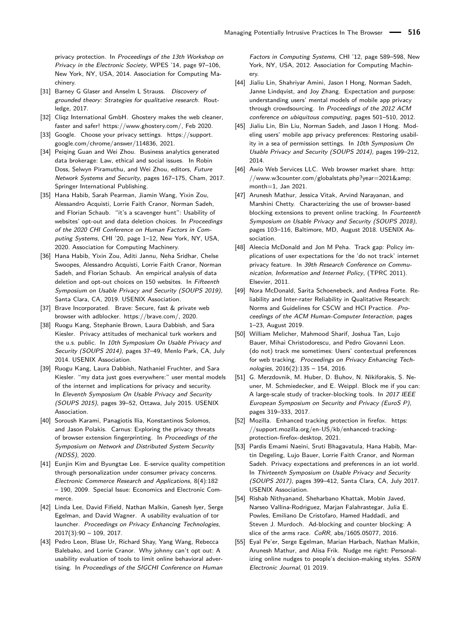privacy protection. In Proceedings of the 13th Workshop on Privacy in the Electronic Society, WPES '14, page 97–106, New York, NY, USA, 2014. Association for Computing Machinery.

- <span id="page-16-22"></span>[31] Barney G Glaser and Anselm L Strauss. Discovery of grounded theory: Strategies for qualitative research. Routledge, 2017.
- <span id="page-16-18"></span>[32] Cliqz International GmbH. Ghostery makes the web cleaner. faster and safer! [https://www.ghostery.com/,](https://www.ghostery.com/) Feb 2020.
- <span id="page-16-15"></span>[33] Google. Choose your privacy settings. [https://support.](https://support.google.com/chrome/answer/114836) [google.com/chrome/answer/114836,](https://support.google.com/chrome/answer/114836) 2021.
- <span id="page-16-0"></span>[34] Peiging Guan and Wei Zhou. Business analytics generated data brokerage: Law, ethical and social issues. In Robin Doss, Selwyn Piramuthu, and Wei Zhou, editors, Future Network Systems and Security, pages 167–175, Cham, 2017. Springer International Publishing.
- <span id="page-16-6"></span>[35] Hana Habib, Sarah Pearman, Jiamin Wang, Yixin Zou, Alessandro Acquisti, Lorrie Faith Cranor, Norman Sadeh, and Florian Schaub. "it's a scavenger hunt": Usability of websites' opt-out and data deletion choices. In Proceedings of the 2020 CHI Conference on Human Factors in Computing Systems, CHI '20, page 1–12, New York, NY, USA, 2020. Association for Computing Machinery.
- <span id="page-16-7"></span>[36] Hana Habib, Yixin Zou, Aditi Jannu, Neha Sridhar, Chelse Swoopes, Alessandro Acquisti, Lorrie Faith Cranor, Norman Sadeh, and Florian Schaub. An empirical analysis of data deletion and opt-out choices on 150 websites. In Fifteenth Symposium on Usable Privacy and Security (SOUPS 2019), Santa Clara, CA, 2019. USENIX Association.
- <span id="page-16-17"></span>[37] Brave Incorporated. Brave: Secure, fast & private web browser with adblocker. [https://brave.com/,](https://brave.com/) 2020.
- <span id="page-16-9"></span>[38] Ruogu Kang, Stephanie Brown, Laura Dabbish, and Sara Kiesler. Privacy attitudes of mechanical turk workers and the u.s. public. In 10th Symposium On Usable Privacy and Security (SOUPS 2014), pages 37–49, Menlo Park, CA, July 2014. USENIX Association.
- <span id="page-16-10"></span>[39] Ruogu Kang, Laura Dabbish, Nathaniel Fruchter, and Sara Kiesler. "my data just goes everywhere:" user mental models of the internet and implications for privacy and security. In Eleventh Symposium On Usable Privacy and Security (SOUPS 2015), pages 39–52, Ottawa, July 2015. USENIX Association.
- <span id="page-16-4"></span>[40] Soroush Karami, Panagiotis Ilia, Konstantinos Solomos, and Jason Polakis. Carnus: Exploring the privacy threats of browser extension fingerprinting. In Proceedings of the Symposium on Network and Distributed System Security (NDSS), 2020.
- <span id="page-16-1"></span>[41] Eunjin Kim and Byungtae Lee. E-service quality competition through personalization under consumer privacy concerns. Electronic Commerce Research and Applications, 8(4):182 – 190, 2009. Special Issue: Economics and Electronic Commerce.
- <span id="page-16-16"></span>[42] Linda Lee, David Fifield, Nathan Malkin, Ganesh Iyer, Serge Egelman, and David Wagner. A usability evaluation of tor launcher. Proceedings on Privacy Enhancing Technologies,  $2017(3):90 - 109, 2017.$
- <span id="page-16-2"></span>[43] Pedro Leon, Blase Ur, Richard Shay, Yang Wang, Rebecca Balebako, and Lorrie Cranor. Why johnny can't opt out: A usability evaluation of tools to limit online behavioral advertising. In Proceedings of the SIGCHI Conference on Human

Factors in Computing Systems, CHI '12, page 589–598, New York, NY, USA, 2012. Association for Computing Machinery.

- <span id="page-16-12"></span>[44] Jialiu Lin, Shahriyar Amini, Jason I Hong, Norman Sadeh, Janne Lindqvist, and Joy Zhang. Expectation and purpose: understanding users' mental models of mobile app privacy through crowdsourcing. In Proceedings of the 2012 ACM conference on ubiquitous computing, pages 501–510, 2012.
- <span id="page-16-13"></span>[45] Jialiu Lin, Bin Liu, Norman Sadeh, and Jason I Hong. Modeling users' mobile app privacy preferences: Restoring usability in a sea of permission settings. In 10th Symposium On Usable Privacy and Security (SOUPS 2014), pages 199–212, 2014.
- <span id="page-16-14"></span>[46] Awio Web Services LLC. Web browser market share. [http:](http://www.w3counter.com/globalstats.php?year=2021&month=1) [//www.w3counter.com/globalstats.php?year=2021&](http://www.w3counter.com/globalstats.php?year=2021&month=1) [month=1,](http://www.w3counter.com/globalstats.php?year=2021&month=1) Jan 2021.
- <span id="page-16-3"></span>[47] Arunesh Mathur, Jessica Vitak, Arvind Narayanan, and Marshini Chetty. Characterizing the use of browser-based blocking extensions to prevent online tracking. In Fourteenth Symposium on Usable Privacy and Security (SOUPS 2018), pages 103–116, Baltimore, MD, August 2018. USENIX Association.
- <span id="page-16-20"></span>[48] Aleecia McDonald and Jon M Peha. Track gap: Policy implications of user expectations for the 'do not track' internet privacy feature. In 39th Research Conference on Communication, Information and Internet Policy, (TPRC 2011). Elsevier, 2011.
- <span id="page-16-23"></span>[49] Nora McDonald, Sarita Schoenebeck, and Andrea Forte. Reliability and Inter-rater Reliability in Qualitative Research: Norms and Guidelines for CSCW and HCI Practice. Proceedings of the ACM Human-Computer Interaction, pages 1–23, August 2019.
- <span id="page-16-11"></span>[50] William Melicher, Mahmood Sharif, Joshua Tan, Lujo Bauer, Mihai Christodorescu, and Pedro Giovanni Leon. (do not) track me sometimes: Users' contextual preferences for web tracking. Proceedings on Privacy Enhancing Technologies, 2016(2):135 – 154, 2016.
- <span id="page-16-5"></span>[51] G. Merzdovnik, M. Huber, D. Buhov, N. Nikiforakis, S. Neuner, M. Schmiedecker, and E. Weippl. Block me if you can: A large-scale study of tracker-blocking tools. In 2017 IEEE European Symposium on Security and Privacy (EuroS P), pages 319–333, 2017.
- <span id="page-16-24"></span>[52] Mozilla. Enhanced tracking protection in firefox. [https:](https://support.mozilla.org/en-US/kb/enhanced-tracking-protection-firefox-desktop) [//support.mozilla.org/en-US/kb/enhanced-tracking](https://support.mozilla.org/en-US/kb/enhanced-tracking-protection-firefox-desktop)[protection-firefox-desktop,](https://support.mozilla.org/en-US/kb/enhanced-tracking-protection-firefox-desktop) 2021.
- <span id="page-16-8"></span>[53] Pardis Emami Naeini, Sruti Bhagavatula, Hana Habib, Martin Degeling, Lujo Bauer, Lorrie Faith Cranor, and Norman Sadeh. Privacy expectations and preferences in an iot world. In Thirteenth Symposium on Usable Privacy and Security (SOUPS 2017), pages 399–412, Santa Clara, CA, July 2017. USENIX Association.
- <span id="page-16-19"></span>[54] Rishab Nithyanand, Sheharbano Khattak, Mobin Javed, Narseo Vallina-Rodriguez, Marjan Falahrastegar, Julia E. Powles, Emiliano De Cristofaro, Hamed Haddadi, and Steven J. Murdoch. Ad-blocking and counter blocking: A slice of the arms race. CoRR, abs/1605.05077, 2016.
- <span id="page-16-21"></span>[55] Eyal Pe'er, Serge Egelman, Marian Harbach, Nathan Malkin, Arunesh Mathur, and Alisa Frik. Nudge me right: Personalizing online nudges to people's decision-making styles. SSRN Electronic Journal, 01 2019.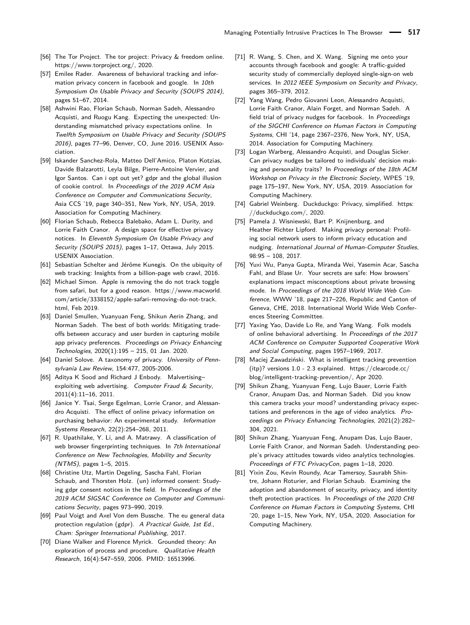- <span id="page-17-11"></span>[56] The Tor Project. The tor project: Privacy & freedom online. [https://www.torproject.org/,](https://www.torproject.org/) 2020.
- <span id="page-17-10"></span>[57] Emilee Rader. Awareness of behavioral tracking and information privacy concern in facebook and google. In 10th Symposium On Usable Privacy and Security (SOUPS 2014), pages 51–67, 2014.
- <span id="page-17-7"></span>[58] Ashwini Rao, Florian Schaub, Norman Sadeh, Alessandro Acquisti, and Ruogu Kang. Expecting the unexpected: Understanding mismatched privacy expectations online. In Twelfth Symposium on Usable Privacy and Security (SOUPS 2016), pages 77–96, Denver, CO, June 2016. USENIX Association.
- <span id="page-17-25"></span>[59] Iskander Sanchez-Rola, Matteo Dell'Amico, Platon Kotzias, Davide Balzarotti, Leyla Bilge, Pierre-Antoine Vervier, and Igor Santos. Can i opt out yet? gdpr and the global illusion of cookie control. In Proceedings of the 2019 ACM Asia Conference on Computer and Communications Security, Asia CCS '19, page 340–351, New York, NY, USA, 2019. Association for Computing Machinery.
- <span id="page-17-16"></span>[60] Florian Schaub, Rebecca Balebako, Adam L. Durity, and Lorrie Faith Cranor. A design space for effective privacy notices. In Eleventh Symposium On Usable Privacy and Security (SOUPS 2015), pages 1–17, Ottawa, July 2015. USENIX Association.
- <span id="page-17-3"></span>[61] Sebastian Schelter and Jérôme Kunegis. On the ubiquity of web tracking: Insights from a billion-page web crawl, 2016.
- <span id="page-17-13"></span>[62] Michael Simon. Apple is removing the do not track toggle from safari, but for a good reason. [https://www.macworld.](https://www.macworld.com/article/3338152/apple-safari-removing-do-not-track.html) [com/article/3338152/apple-safari-removing-do-not-track.](https://www.macworld.com/article/3338152/apple-safari-removing-do-not-track.html) [html,](https://www.macworld.com/article/3338152/apple-safari-removing-do-not-track.html) Feb 2019.
- <span id="page-17-21"></span>[63] Daniel Smullen, Yuanyuan Feng, Shikun Aerin Zhang, and Norman Sadeh. The best of both worlds: Mitigating tradeoffs between accuracy and user burden in capturing mobile app privacy preferences. Proceedings on Privacy Enhancing Technologies, 2020(1):195 – 215, 01 Jan. 2020.
- <span id="page-17-0"></span>[64] Daniel Solove. A taxonomy of privacy. University of Pennsylvania Law Review, 154:477, 2005-2006.
- <span id="page-17-22"></span>[65] Aditya K Sood and Richard J Enbody. Malvertising– exploiting web advertising. Computer Fraud & Security, 2011(4):11–16, 2011.
- <span id="page-17-9"></span>[66] Janice Y. Tsai, Serge Egelman, Lorrie Cranor, and Alessandro Acquisti. The effect of online privacy information on purchasing behavior: An experimental study. Information Systems Research, 22(2):254–268, 2011.
- <span id="page-17-1"></span>[67] R. Upathilake, Y. Li, and A. Matrawy. A classification of web browser fingerprinting techniques. In 7th International Conference on New Technologies, Mobility and Security (NTMS), pages 1–5, 2015.
- <span id="page-17-24"></span>[68] Christine Utz, Martin Degeling, Sascha Fahl, Florian Schaub, and Thorsten Holz. (un) informed consent: Studying gdpr consent notices in the field. In Proceedings of the 2019 ACM SIGSAC Conference on Computer and Communications Security, pages 973–990, 2019.
- <span id="page-17-23"></span>[69] Paul Voigt and Axel Von dem Bussche. The eu general data protection regulation (gdpr). A Practical Guide, 1st Ed., Cham: Springer International Publishing, 2017.
- <span id="page-17-20"></span>[70] Diane Walker and Florence Myrick. Grounded theory: An exploration of process and procedure. Qualitative Health Research, 16(4):547–559, 2006. PMID: 16513996.
- <span id="page-17-2"></span>[71] R. Wang, S. Chen, and X. Wang. Signing me onto your accounts through facebook and google: A traffic-guided security study of commercially deployed single-sign-on web services. In 2012 IEEE Symposium on Security and Privacy, pages 365–379, 2012.
- <span id="page-17-17"></span>[72] Yang Wang, Pedro Giovanni Leon, Alessandro Acquisti, Lorrie Faith Cranor, Alain Forget, and Norman Sadeh. A field trial of privacy nudges for facebook. In Proceedings of the SIGCHI Conference on Human Factors in Computing Systems, CHI '14, page 2367–2376, New York, NY, USA, 2014. Association for Computing Machinery.
- <span id="page-17-15"></span>[73] Logan Warberg, Alessandro Acquisti, and Douglas Sicker. Can privacy nudges be tailored to individuals' decision making and personality traits? In Proceedings of the 18th ACM Workshop on Privacy in the Electronic Society, WPES '19, page 175–197, New York, NY, USA, 2019. Association for Computing Machinery.
- <span id="page-17-12"></span>[74] Gabriel Weinberg. Duckduckgo: Privacy, simplified. [https:](https://duckduckgo.com/) [//duckduckgo.com/,](https://duckduckgo.com/) 2020.
- <span id="page-17-18"></span>[75] Pamela J. Wisniewski, Bart P. Knijnenburg, and Heather Richter Lipford. Making privacy personal: Profiling social network users to inform privacy education and nudging. International Journal of Human-Computer Studies, 98:95 – 108, 2017.
- <span id="page-17-14"></span>[76] Yuxi Wu, Panya Gupta, Miranda Wei, Yasemin Acar, Sascha Fahl, and Blase Ur. Your secrets are safe: How browsers' explanations impact misconceptions about private browsing mode. In Proceedings of the 2018 World Wide Web Conference, WWW '18, page 217–226, Republic and Canton of Geneva, CHE, 2018. International World Wide Web Conferences Steering Committee.
- <span id="page-17-8"></span>[77] Yaxing Yao, Davide Lo Re, and Yang Wang. Folk models of online behavioral advertising. In Proceedings of the 2017 ACM Conference on Computer Supported Cooperative Work and Social Computing, pages 1957–1969, 2017.
- <span id="page-17-5"></span>[78] Maciej Zawadziński. What is intelligent tracking prevention (itp)? versions 1.0 - 2.3 explained. [https://clearcode.cc/](https://clearcode.cc/blog/intelligent-tracking-prevention/) [blog/intelligent-tracking-prevention/,](https://clearcode.cc/blog/intelligent-tracking-prevention/) Apr 2020.
- <span id="page-17-6"></span>[79] Shikun Zhang, Yuanyuan Feng, Lujo Bauer, Lorrie Faith Cranor, Anupam Das, and Norman Sadeh. Did you know this camera tracks your mood? understanding privacy expectations and preferences in the age of video analytics. Proceedings on Privacy Enhancing Technologies, 2021(2):282– 304, 2021.
- <span id="page-17-19"></span>[80] Shikun Zhang, Yuanyuan Feng, Anupam Das, Lujo Bauer, Lorrie Faith Cranor, and Norman Sadeh. Understanding people's privacy attitudes towards video analytics technologies. Proceedings of FTC PrivacyCon, pages 1–18, 2020.
- <span id="page-17-4"></span>[81] Yixin Zou, Kevin Roundy, Acar Tamersoy, Saurabh Shintre, Johann Roturier, and Florian Schaub. Examining the adoption and abandonment of security, privacy, and identity theft protection practices. In Proceedings of the 2020 CHI Conference on Human Factors in Computing Systems, CHI '20, page 1–15, New York, NY, USA, 2020. Association for Computing Machinery.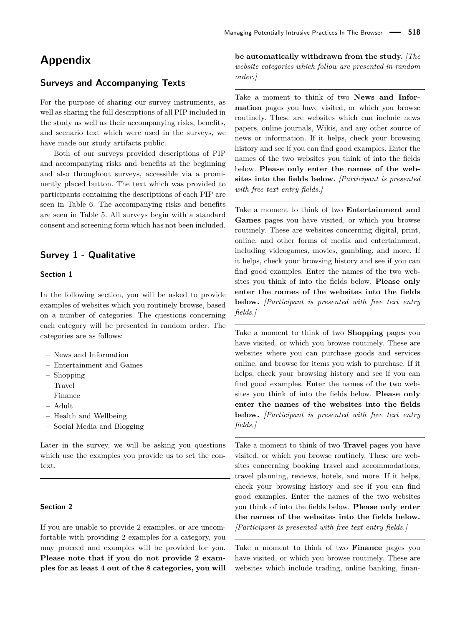# **Appendix**

# **Surveys and Accompanying Texts**

For the purpose of sharing our survey instruments, as well as sharing the full descriptions of all PIP included in the study as well as their accompanying risks, benefits, and scenario text which were used in the surveys, we have made our study artifacts public.

Both of our surveys provided descriptions of PIP and accompanying risks and benefits at the beginning and also throughout surveys, accessible via a prominently placed button. The text which was provided to participants containing the descriptions of each PIP are seen in Table [6.](#page-20-0) The accompanying risks and benefits are seen in Table [5.](#page-19-0) All surveys begin with a standard consent and screening form which has not been included.

# **Survey 1 - Qualitative**

# **Section 1**

In the following section, you will be asked to provide examples of websites which you routinely browse, based on a number of categories. The questions concerning each category will be presented in random order. The categories are as follows:

- News and Information
- Entertainment and Games
- Shopping
- Travel
- Finance
- Adult
- Health and Wellbeing
- Social Media and Blogging

Later in the survey, we will be asking you questions which use the examples you provide us to set the context.

### **Section 2**

If you are unable to provide 2 examples, or are uncomfortable with providing 2 examples for a category, you may proceed and examples will be provided for you. **Please note that if you do not provide 2 examples for at least 4 out of the 8 categories, you will** **be automatically withdrawn from the study.** *[The website categories which follow are presented in random order.]*

Take a moment to think of two **News and Information** pages you have visited, or which you browse routinely. These are websites which can include news papers, online journals, Wikis, and any other source of news or information. If it helps, check your browsing history and see if you can find good examples. Enter the names of the two websites you think of into the fields below. **Please only enter the names of the websites into the fields below.** *[Participant is presented with free text entry fields.]*

Take a moment to think of two **Entertainment and Games** pages you have visited, or which you browse routinely. These are websites concerning digital, print, online, and other forms of media and entertainment, including videogames, movies, gambling, and more. If it helps, check your browsing history and see if you can find good examples. Enter the names of the two websites you think of into the fields below. **Please only enter the names of the websites into the fields below.** *[Participant is presented with free text entry fields.]*

Take a moment to think of two **Shopping** pages you have visited, or which you browse routinely. These are websites where you can purchase goods and services online, and browse for items you wish to purchase. If it helps, check your browsing history and see if you can find good examples. Enter the names of the two websites you think of into the fields below. **Please only enter the names of the websites into the fields below.** *[Participant is presented with free text entry fields.]*

Take a moment to think of two **Travel** pages you have visited, or which you browse routinely. These are websites concerning booking travel and accommodations, travel planning, reviews, hotels, and more. If it helps, check your browsing history and see if you can find good examples. Enter the names of the two websites you think of into the fields below. **Please only enter the names of the websites into the fields below.** *[Participant is presented with free text entry fields.]*

Take a moment to think of two **Finance** pages you have visited, or which you browse routinely. These are websites which include trading, online banking, finan-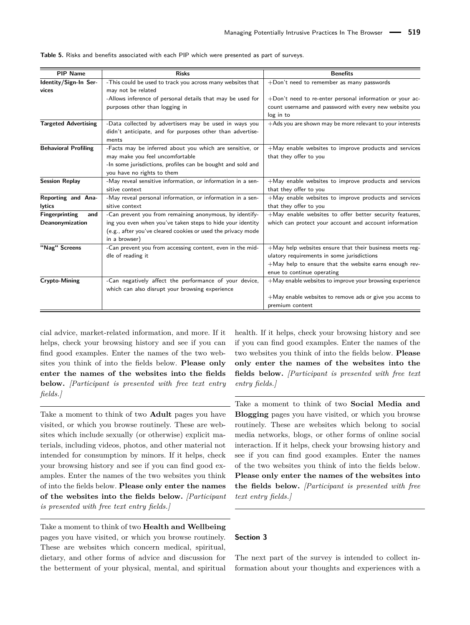| <b>PIP Name</b>             | <b>Risks</b>                                                 | <b>Benefits</b>                                             |
|-----------------------------|--------------------------------------------------------------|-------------------------------------------------------------|
| Identity/Sign-In Ser-       | -This could be used to track you across many websites that   | $+$ Don't need to remember as many passwords                |
| vices                       | may not be related                                           |                                                             |
|                             | -Allows inference of personal details that may be used for   | +Don't need to re-enter personal information or your ac-    |
|                             | purposes other than logging in                               | count username and password with every new website you      |
|                             |                                                              | log in to                                                   |
| <b>Targeted Advertising</b> | -Data collected by advertisers may be used in ways you       | +Ads you are shown may be more relevant to your interests   |
|                             | didn't anticipate, and for purposes other than advertise-    |                                                             |
|                             | ments                                                        |                                                             |
| <b>Behavioral Profiling</b> | -Facts may be inferred about you which are sensitive, or     | $+$ May enable websites to improve products and services    |
|                             | may make you feel uncomfortable                              | that they offer to you                                      |
|                             | -In some jurisdictions, profiles can be bought and sold and  |                                                             |
|                             | you have no rights to them                                   |                                                             |
| <b>Session Replay</b>       | -May reveal sensitive information, or information in a sen-  | $+$ May enable websites to improve products and services    |
|                             | sitive context                                               | that they offer to you                                      |
| Reporting and Ana-          | -May reveal personal information, or information in a sen-   | $+$ May enable websites to improve products and services    |
| <b>lytics</b>               | sitive context                                               | that they offer to you                                      |
| Fingerprinting<br>and       | -Can prevent you from remaining anonymous, by identify-      | +May enable websites to offer better security features,     |
| Deanonymization             | ing you even when you've taken steps to hide your identity   | which can protect your account and account information      |
|                             | (e.g., after you've cleared cookies or used the privacy mode |                                                             |
|                             | in a browser)                                                |                                                             |
| "Nag" Screens               | -Can prevent you from accessing content, even in the mid-    | $+$ May help websites ensure that their business meets reg- |
|                             | dle of reading it                                            | ulatory requirements in some jurisdictions                  |
|                             |                                                              | +May help to ensure that the website earns enough rev-      |
|                             |                                                              | enue to continue operating                                  |
| Crypto-Mining               | -Can negatively affect the performance of your device,       | $+$ May enable websites to improve your browsing experience |
|                             | which can also disrupt your browsing experience              |                                                             |
|                             |                                                              | $+$ May enable websites to remove ads or give you access to |
|                             |                                                              | premium content                                             |

<span id="page-19-0"></span>**Table 5.** Risks and benefits associated with each PIP which were presented as part of surveys.

cial advice, market-related information, and more. If it helps, check your browsing history and see if you can find good examples. Enter the names of the two websites you think of into the fields below. **Please only enter the names of the websites into the fields below.** *[Participant is presented with free text entry fields.]*

Take a moment to think of two **Adult** pages you have visited, or which you browse routinely. These are websites which include sexually (or otherwise) explicit materials, including videos, photos, and other material not intended for consumption by minors. If it helps, check your browsing history and see if you can find good examples. Enter the names of the two websites you think of into the fields below. **Please only enter the names of the websites into the fields below.** *[Participant is presented with free text entry fields.]*

Take a moment to think of two **Health and Wellbeing** pages you have visited, or which you browse routinely. These are websites which concern medical, spiritual, dietary, and other forms of advice and discussion for the betterment of your physical, mental, and spiritual

health. If it helps, check your browsing history and see if you can find good examples. Enter the names of the two websites you think of into the fields below. **Please only enter the names of the websites into the fields below.** *[Participant is presented with free text entry fields.]*

Take a moment to think of two **Social Media and Blogging** pages you have visited, or which you browse routinely. These are websites which belong to social media networks, blogs, or other forms of online social interaction. If it helps, check your browsing history and see if you can find good examples. Enter the names of the two websites you think of into the fields below. **Please only enter the names of the websites into the fields below.** *[Participant is presented with free text entry fields.]*

#### **Section 3**

The next part of the survey is intended to collect information about your thoughts and experiences with a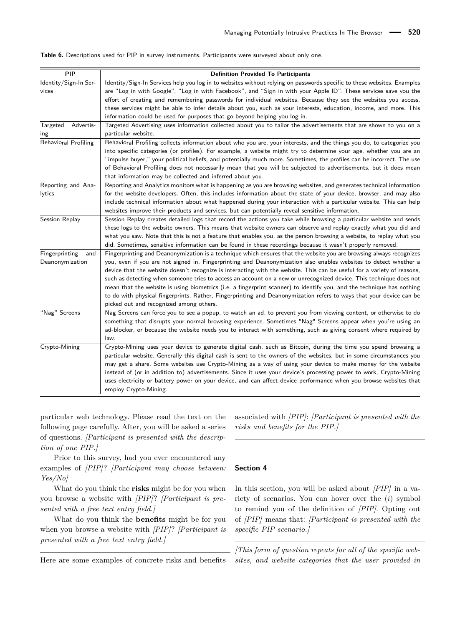| PIP                                      | <b>Definition Provided To Participants</b>                                                                                                                                                                                                                                                                                                                                                                                                                                                                                                                                                                                                                                                                                                                                          |
|------------------------------------------|-------------------------------------------------------------------------------------------------------------------------------------------------------------------------------------------------------------------------------------------------------------------------------------------------------------------------------------------------------------------------------------------------------------------------------------------------------------------------------------------------------------------------------------------------------------------------------------------------------------------------------------------------------------------------------------------------------------------------------------------------------------------------------------|
| Identity/Sign-In Ser-<br>vices           | Identity/Sign-In Services help you log in to websites without relying on passwords specific to these websites. Examples<br>are "Log in with Google", "Log in with Facebook", and "Sign in with your Apple ID". These services save you the<br>effort of creating and remembering passwords for individual websites. Because they see the websites you access,<br>these services might be able to infer details about you, such as your interests, education, income, and more. This                                                                                                                                                                                                                                                                                                 |
|                                          | information could be used for purposes that go beyond helping you log in.                                                                                                                                                                                                                                                                                                                                                                                                                                                                                                                                                                                                                                                                                                           |
| Advertis-<br>Targeted<br>ing             | Targeted Advertising uses information collected about you to tailor the advertisements that are shown to you on a<br>particular website.                                                                                                                                                                                                                                                                                                                                                                                                                                                                                                                                                                                                                                            |
| <b>Behavioral Profiling</b>              | Behavioral Profiling collects information about who you are, your interests, and the things you do, to categorize you<br>into specific categories (or profiles). For example, a website might try to determine your age, whether you are an<br>"impulse buyer," your political beliefs, and potentially much more. Sometimes, the profiles can be incorrect. The use<br>of Behavioral Profiling does not necessarily mean that you will be subjected to advertisements, but it does mean<br>that information may be collected and inferred about you.                                                                                                                                                                                                                               |
| Reporting and Ana-<br>lytics             | Reporting and Analytics monitors what is happening as you are browsing websites, and generates technical information<br>for the website developers. Often, this includes information about the state of your device, browser, and may also<br>include technical information about what happened during your interaction with a particular website. This can help<br>websites improve their products and services, but can potentially reveal sensitive information.                                                                                                                                                                                                                                                                                                                 |
| Session Replay                           | Session Replay creates detailed logs that record the actions you take while browsing a particular website and sends<br>these logs to the website owners. This means that website owners can observe and replay exactly what you did and<br>what you saw. Note that this is not a feature that enables you, as the person browsing a website, to replay what you<br>did. Sometimes, sensitive information can be found in these recordings because it wasn't properly removed.                                                                                                                                                                                                                                                                                                       |
| Fingerprinting<br>and<br>Deanonymization | Fingerprinting and Deanonymization is a technique which ensures that the website you are browsing always recognizes<br>you, even if you are not signed in. Fingerprinting and Deanonymization also enables websites to detect whether a<br>device that the website doesn't recognize is interacting with the website. This can be useful for a variety of reasons,<br>such as detecting when someone tries to access an account on a new or unrecognized device. This technique does not<br>mean that the website is using biometrics (i.e. a fingerprint scanner) to identify you, and the technique has nothing<br>to do with physical fingerprints. Rather, Fingerprinting and Deanonymization refers to ways that your device can be<br>picked out and recognized among others. |
| "Nag" Screens                            | Nag Screens can force you to see a popup, to watch an ad, to prevent you from viewing content, or otherwise to do<br>something that disrupts your normal browsing experience. Sometimes "Nag" Screens appear when you're using an<br>ad-blocker, or because the website needs you to interact with something, such as giving consent where required by<br>law.                                                                                                                                                                                                                                                                                                                                                                                                                      |
| Crypto-Mining                            | Crypto-Mining uses your device to generate digital cash, such as Bitcoin, during the time you spend browsing a<br>particular website. Generally this digital cash is sent to the owners of the websites, but in some circumstances you<br>may get a share. Some websites use Crypto-Mining as a way of using your device to make money for the website<br>instead of (or in addition to) advertisements. Since it uses your device's processing power to work, Crypto-Mining<br>uses electricity or battery power on your device, and can affect device performance when you browse websites that<br>employ Crypto-Mining.                                                                                                                                                          |

<span id="page-20-0"></span>**Table 6.** Descriptions used for PIP in survey instruments. Participants were surveyed about only one.

particular web technology. Please read the text on the following page carefully. After, you will be asked a series of questions. *[Participant is presented with the description of one PIP.]*

Prior to this survey, had you ever encountered any examples of *[PIP]*? *[Participant may choose between: Yes/No]*

What do you think the **risks** might be for you when you browse a website with *[PIP]*? *[Participant is presented with a free text entry field.]*

What do you think the **benefits** might be for you when you browse a website with *[PIP]*? *[Participant is presented with a free text entry field.]*

Here are some examples of concrete risks and benefits

associated with *[PIP]*: *[Participant is presented with the risks and benefits for the PIP.]*

#### **Section 4**

In this section, you will be asked about *[PIP]* in a variety of scenarios. You can hover over the (*i*) symbol to remind you of the definition of *[PIP]*. Opting out of *[PIP]* means that: *[Participant is presented with the specific PIP scenario.]*

*[This form of question repeats for all of the specific websites, and website categories that the user provided in*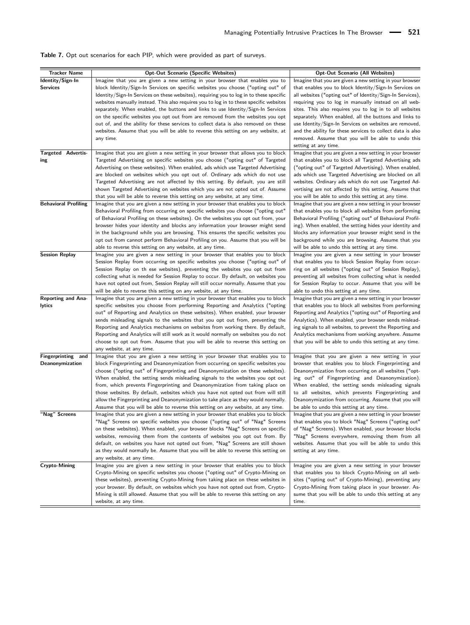<span id="page-21-0"></span>

| <b>Table 7.</b> Opt out scenarios for each PIP, which were provided as part of surveys. |  |  |  |  |
|-----------------------------------------------------------------------------------------|--|--|--|--|
|-----------------------------------------------------------------------------------------|--|--|--|--|

| <b>Tracker Name</b>         | <b>Opt-Out Scenario (Specific Websites)</b>                                             | Opt-Out Scenario (All Websites)                            |
|-----------------------------|-----------------------------------------------------------------------------------------|------------------------------------------------------------|
| Identity/Sign-In            | Imagine that you are given a new setting in your browser that enables you to            | Imagine that you are given a new setting in your browser   |
| Services                    | block Identity/Sign-In Services on specific websites you choose ("opting out" of        | that enables you to block Identity/Sign-In Services on     |
|                             | Identity/Sign-In Services on these websites), requiring you to log in to these specific | all websites ("opting out" of Identity/Sign-In Services),  |
|                             | websites manually instead. This also requires you to log in to these specific websites  | requiring you to log in manually instead on all web-       |
|                             | separately. When enabled, the buttons and links to use Identity/Sign-In Services        | sites. This also requires you to log in to all websites    |
|                             | on the specific websites you opt out from are removed from the websites you opt         | separately. When enabled, all the buttons and links to     |
|                             | out of, and the ability for these services to collect data is also removed on these     | use Identity/Sign-In Services on websites are removed,     |
|                             |                                                                                         |                                                            |
|                             | websites. Assume that you will be able to reverse this setting on any website, at       | and the ability for these services to collect data is also |
|                             | any time.                                                                               | removed. Assume that you will be able to undo this         |
|                             |                                                                                         | setting at any time.                                       |
| <b>Targeted Advertis-</b>   | Imagine that you are given a new setting in your browser that allows you to block       | Imagine that you are given a new setting in your browser   |
| ing                         | Targeted Advertising on specific websites you choose ("opting out" of Targeted          | that enables you to block all Targeted Advertising ads     |
|                             | Advertising on these websites). When enabled, ads which use Targeted Advertising        | ("opting out" of Targeted Advertising). When enabled,      |
|                             | are blocked on websites which you opt out of. Ordinary ads which do not use             | ads which use Targeted Advertising are blocked on all      |
|                             | Targeted Advertising are not affected by this setting. By default, you are still        | websites. Ordinary ads which do not use Targeted Ad-       |
|                             | shown Targeted Advertising on websites which you are not opted out of. Assume           | vertising are not affected by this setting. Assume that    |
|                             | that you will be able to reverse this setting on any website, at any time.              | you will be able to undo this setting at any time.         |
| <b>Behavioral Profiling</b> | Imagine that you are given a new setting in your browser that enables you to block      | Imagine that you are given a new setting in your browser   |
|                             | Behavioral Profiling from occurring on specific websites you choose ("opting out"       | that enables you to block all websites from performing     |
|                             | of Behavioral Profiling on these websites). On the websites you opt out from, your      | Behavioral Profiling ("opting out" of Behavioral Profil-   |
|                             |                                                                                         |                                                            |
|                             | browser hides your identity and blocks any information your browser might send          | ing). When enabled, the setting hides your identity and    |
|                             | in the background while you are browsing. This ensures the specific websites you        | blocks any information your browser might send in the      |
|                             | opt out from cannot perform Behavioral Profiling on you. Assume that you will be        | background while you are browsing. Assume that you         |
|                             | able to reverse this setting on any website, at any time.                               | will be able to undo this setting at any time.             |
| <b>Session Replay</b>       | Imagine you are given a new setting in your browser that enables you to block           | Imagine you are given a new setting in your browser        |
|                             | Session Replay from occurring on specific websites you choose ("opting out" of          | that enables you to block Session Replay from occur-       |
|                             | Session Replay on th ese websites), preventing the websites you opt out from            | ring on all websites ("opting out" of Session Replay),     |
|                             | collecting what is needed for Session Replay to occur. By default, on websites you      | preventing all websites from collecting what is needed     |
|                             | have not opted out from, Session Replay will still occur normally. Assume that you      | for Session Replay to occur. Assume that you will be       |
|                             | will be able to reverse this setting on any website, at any time.                       | able to undo this setting at any time.                     |
| <b>Reporting and Ana-</b>   | Imagine that you are given a new setting in your browser that enables you to block      | Imagine that you are given a new setting in your browser   |
| lytics                      | specific websites you choose from performing Reporting and Analytics ("opting           | that enables you to block all websites from performing     |
|                             | out" of Reporting and Analytics on these websites). When enabled, your browser          | Reporting and Analytics ("opting out" of Reporting and     |
|                             | sends misleading signals to the websites that you opt out from, preventing the          | Analytics). When enabled, your browser sends mislead-      |
|                             | Reporting and Analytics mechanisms on websites from working there. By default,          | ing signals to all websites, to prevent the Reporting and  |
|                             |                                                                                         |                                                            |
|                             | Reporting and Analytics will still work as it would normally on websites you do not     | Analytics mechanisms from working anywhere. Assume         |
|                             | choose to opt out from. Assume that you will be able to reverse this setting on         | that you will be able to undo this setting at any time.    |
|                             | any website, at any time.                                                               |                                                            |
| Fingerprinting<br>and       | Imagine that you are given a new setting in your browser that enables you to            | Imagine that you are given a new setting in your           |
| Deanonymization             | block Fingerprinting and Deanonymization from occurring on specific websites you        | browser that enables you to block Fingerprinting and       |
|                             | choose ("opting out" of Fingerprinting and Deanonymization on these websites).          | Deanonymization from occurring on all websites ("opt-      |
|                             | When enabled, the setting sends misleading signals to the websites you opt out          | ing out" of Fingerprinting and Deanonymization).           |
|                             | from, which prevents Fingerprinting and Deanonymization from taking place on            | When enabled, the setting sends misleading signals         |
|                             | those websites. By default, websites which you have not opted out from will still       | to all websites, which prevents Fingerprinting and         |
|                             | allow the Fingerprinting and Deanonymization to take place as they would normally.      | Deanonymization from occurring. Assume that you will       |
|                             | Assume that you will be able to reverse this setting on any website, at any time.       | be able to undo this setting at any time.                  |
| "Nag" Screens               | Imagine that you are given a new setting in your browser that enables you to block      | Imagine that you are given a new setting in your browser   |
|                             | "Nag" Screens on specific websites you choose ("opting out" of "Nag" Screens            | that enables you to block "Nag" Screens ("opting out"      |
|                             | on these websites). When enabled, your browser blocks "Nag" Screens on specific         | of "Nag" Screens). When enabled, your browser blocks       |
|                             |                                                                                         | "Nag" Screens everywhere, removing them from all           |
|                             | websites, removing them from the contents of websites you opt out from. By              |                                                            |
|                             | default, on websites you have not opted out from, "Nag" Screens are still shown         | websites. Assume that you will be able to undo this        |
|                             | as they would normally be. Assume that you will be able to reverse this setting on      | setting at any time.                                       |
|                             | any website, at any time.                                                               |                                                            |
| <b>Crypto-Mining</b>        | Imagine you are given a new setting in your browser that enables you to block           | Imagine you are given a new setting in your browser        |
|                             | Crypto-Mining on specific websites you choose ("opting out" of Crypto-Mining on         | that enables you to block Crypto-Mining on all web-        |
|                             | these websites), preventing Crypto-Mining from taking place on these websites in        | sites ("opting out" of Crypto-Mining), preventing any      |
|                             | your browser. By default, on websites which you have not opted out from, Crypto-        | Crypto-Mining from taking place in your browser. As-       |
|                             | Mining is still allowed. Assume that you will be able to reverse this setting on any    | sume that you will be able to undo this setting at any     |
|                             | website, at any time.                                                                   | time.                                                      |
|                             |                                                                                         |                                                            |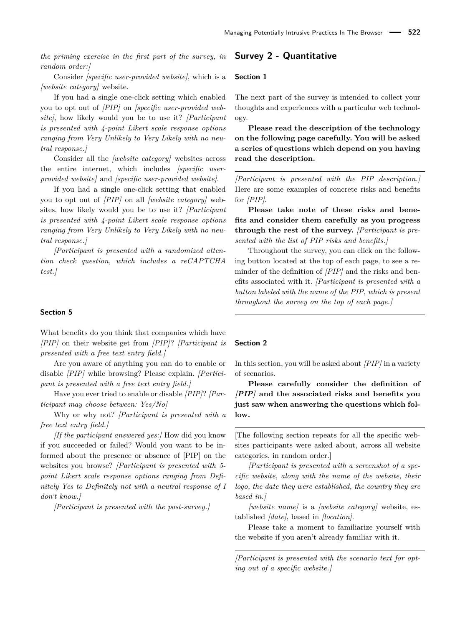*the priming exercise in the first part of the survey, in random order:]*

Consider *[specific user-provided website]*, which is a *[website category]* website.

If you had a single one-click setting which enabled you to opt out of *[PIP]* on *[specific user-provided website]*, how likely would you be to use it? *[Participant is presented with 4-point Likert scale response options ranging from Very Unlikely to Very Likely with no neutral response.]*

Consider all the *[website category]* websites across the entire internet, which includes *[specific userprovided website]* and *[specific user-provided website]*.

If you had a single one-click setting that enabled you to opt out of *[PIP]* on all *[website category]* websites, how likely would you be to use it? *[Participant is presented with 4-point Likert scale response options ranging from Very Unlikely to Very Likely with no neutral response.]*

*[Participant is presented with a randomized attention check question, which includes a reCAPTCHA test.]*

#### **Section 5**

What benefits do you think that companies which have *[PIP]* on their website get from *[PIP]*? *[Participant is presented with a free text entry field.]*

Are you aware of anything you can do to enable or disable *[PIP]* while browsing? Please explain. *[Participant is presented with a free text entry field.]*

Have you ever tried to enable or disable *[PIP]*? *[Participant may choose between: Yes/No]*

Why or why not? *[Participant is presented with a free text entry field.]*

*[If the participant answered yes:]* How did you know if you succeeded or failed? Would you want to be informed about the presence or absence of [PIP] on the websites you browse? *[Participant is presented with 5 point Likert scale response options ranging from Definitely Yes to Definitely not with a neutral response of I don't know.]*

*[Participant is presented with the post-survey.]*

# **Survey 2 - Quantitative**

#### **Section 1**

The next part of the survey is intended to collect your thoughts and experiences with a particular web technology.

**Please read the description of the technology on the following page carefully. You will be asked a series of questions which depend on you having read the description.**

*[Participant is presented with the PIP description.]* Here are some examples of concrete risks and benefits for *[PIP]*.

**Please take note of these risks and benefits and consider them carefully as you progress through the rest of the survey.** *[Participant is presented with the list of PIP risks and benefits.]*

Throughout the survey, you can click on the following button located at the top of each page, to see a reminder of the definition of *[PIP]* and the risks and benefits associated with it. *[Participant is presented with a button labeled with the name of the PIP, which is present throughout the survey on the top of each page.]*

#### **Section 2**

In this section, you will be asked about *[PIP]* in a variety of scenarios.

**Please carefully consider the definition of** *[PIP]* **and the associated risks and benefits you just saw when answering the questions which follow.**

[The following section repeats for all the specific websites participants were asked about, across all website categories, in random order.]

*[Participant is presented with a screenshot of a specific website, along with the name of the website, their logo, the date they were established, the country they are based in.]*

*[website name]* is a *[website category]* website, established *[date]*, based in *[location]*.

Please take a moment to familiarize yourself with the website if you aren't already familiar with it.

*[Participant is presented with the scenario text for opting out of a specific website.]*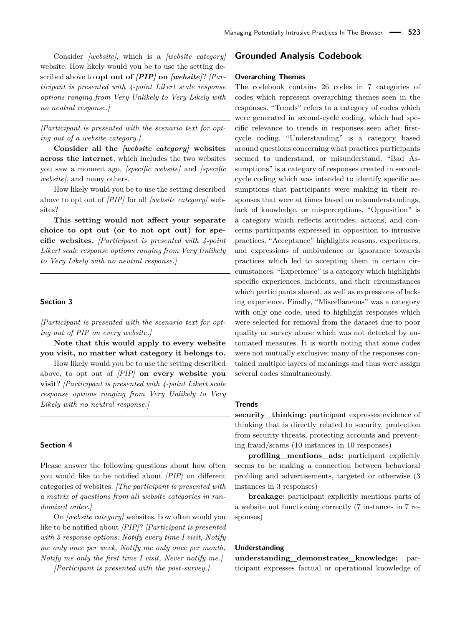Consider *[website]*, which is a *[website category]* website. How likely would you be to use the setting described above to **opt out of** *[PIP]* **on** *[website]*? *[Participant is presented with 4-point Likert scale response options ranging from Very Unlikely to Very Likely with no neutral response.]*

*[Participant is presented with the scenario text for opting out of a website category.]*

**Consider all the** *[website category]* **websites across the internet**, which includes the two websites you saw a moment ago, *[specific website]* and *[specific website]*, and many others.

How likely would you be to use the setting described above to opt out of *[PIP]* for all *[website category]* websites?

**This setting would not affect your separate choice to opt out (or to not opt out) for specific websites.** *[Participant is presented with 4-point Likert scale response options ranging from Very Unlikely to Very Likely with no neutral response.]*

#### **Section 3**

*[Participant is presented with the scenario text for opting out of PIP on every website.]*

**Note that this would apply to every website you visit, no matter what category it belongs to.**

How likely would you be to use the setting described above, to opt out of *[PIP]* **on every website you visit**? *[Participant is presented with 4-point Likert scale response options ranging from Very Unlikely to Very Likely with no neutral response.]*

#### **Section 4**

Please answer the following questions about how often you would like to be notified about *[PIP]* on different categories of websites. *[The participant is presented with a matrix of questions from all website categories in randomized order.]*

On *[website category]* websites, how often would you like to be notified about *[PIP]*? *[Participant is presented with 5 response options: Notify every time I visit, Notify me only once per week, Notify me only once per month, Notify me only the first time I visit, Never notify me.]*

*[Participant is presented with the post-survey.]*

### **Grounded Analysis Codebook**

#### **Overarching Themes**

The codebook contains 26 codes in 7 categories of codes which represent overarching themes seen in the responses. "Trends" refers to a category of codes which were generated in second-cycle coding, which had specific relevance to trends in responses seen after firstcycle coding. "Understanding" is a category based around questions concerning what practices participants seemed to understand, or misunderstand. "Bad Assumptions" is a category of responses created in secondcycle coding which was intended to identify specific assumptions that participants were making in their responses that were at times based on misunderstandings, lack of knowledge, or misperceptions. "Opposition" is a category which reflects attitudes, actions, and concerns participants expressed in opposition to intrusive practices. "Acceptance" highlights reasons, experiences, and expressions of ambivalence or ignorance towards practices which led to accepting them in certain circumstances. "Experience" is a category which highlights specific experiences, incidents, and their circumstances which participants shared, as well as expressions of lacking experience. Finally, "Miscellaneous" was a category with only one code, used to highlight responses which were selected for removal from the dataset due to poor quality or survey abuse which was not detected by automated measures. It is worth noting that some codes were not mutually exclusive; many of the responses contained multiple layers of meanings and thus were assign several codes simultaneously.

#### **Trends**

**security\_thinking:** participant expresses evidence of thinking that is directly related to security, protection from security threats, protecting accounts and preventing fraud/scams (10 instances in 10 responses)

**profiling\_mentions\_ads:** participant explicitly seems to be making a connection between behavioral profiling and advertisements, targeted or otherwise (3 instances in 3 responses)

**breakage:** participant explicitly mentions parts of a website not functioning correctly (7 instances in 7 responses)

#### **Understanding**

**understanding\_demonstrates\_knowledge:** participant expresses factual or operational knowledge of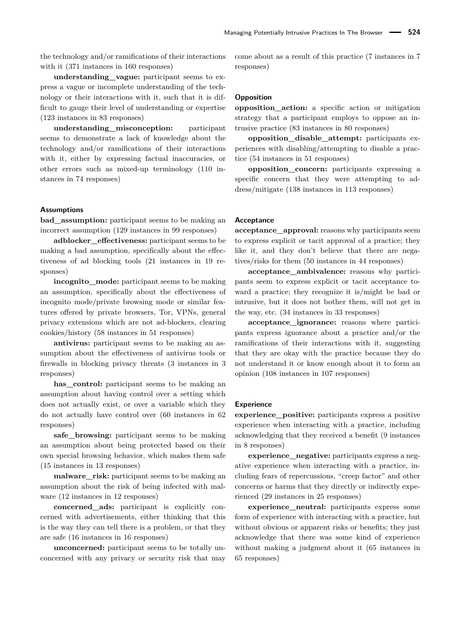the technology and/or ramifications of their interactions with it (371 instances in 160 responses)

**understanding\_vague:** participant seems to express a vague or incomplete understanding of the technology or their interactions with it, such that it is difficult to gauge their level of understanding or expertise (123 instances in 83 responses)

**understanding\_misconception:** participant seems to demonstrate a lack of knowledge about the technology and/or ramifications of their interactions with it, either by expressing factual inaccuracies, or other errors such as mixed-up terminology (110 instances in 74 responses)

#### **Assumptions**

**bad\_assumption:** participant seems to be making an incorrect assumption (129 instances in 99 responses)

**adblocker\_effectiveness:** participant seems to be making a bad assumption, specifically about the effectiveness of ad blocking tools (21 instances in 19 responses)

**incognito** mode: participant seems to be making an assumption, specifically about the effectiveness of incognito mode/private browsing mode or similar features offered by private browsers, Tor, VPNs, general privacy extensions which are not ad-blockers, clearing cookies/history (58 instances in 51 responses)

**antivirus:** participant seems to be making an assumption about the effectiveness of antivirus tools or firewalls in blocking privacy threats (3 instances in 3 responses)

**has\_control:** participant seems to be making an assumption about having control over a setting which does not actually exist, or over a variable which they do not actually have control over (60 instances in 62 responses)

**safe\_browsing:** participant seems to be making an assumption about being protected based on their own special browsing behavior, which makes them safe (15 instances in 13 responses)

**malware** risk: participant seems to be making an assumption about the risk of being infected with malware (12 instances in 12 responses)

**concerned\_ads:** participant is explicitly concerned with advertisements, either thinking that this is the way they can tell there is a problem, or that they are safe (16 instances in 16 responses)

**unconcerned:** participant seems to be totally unconcerned with any privacy or security risk that may come about as a result of this practice (7 instances in 7 responses)

#### **Opposition**

**opposition** action: a specific action or mitigation strategy that a participant employs to oppose an intrusive practice (83 instances in 80 responses)

**opposition\_disable\_attempt:** participants experiences with disabling/attempting to disable a practice (54 instances in 51 responses)

**opposition\_concern:** participants expressing a specific concern that they were attempting to address/mitigate (138 instances in 113 responses)

#### **Acceptance**

**acceptance\_approval:** reasons why participants seem to express explicit or tacit approval of a practice; they like it, and they don't believe that there are negatives/risks for them (50 instances in 44 responses)

**acceptance\_ambivalence:** reasons why participants seem to express explicit or tacit acceptance toward a practice; they recognize it is/might be bad or intrusive, but it does not bother them, will not get in the way, etc. (34 instances in 33 responses)

**acceptance** ignorance: reasons where participants express ignorance about a practice and/or the ramifications of their interactions with it, suggesting that they are okay with the practice because they do not understand it or know enough about it to form an opinion (108 instances in 107 responses)

#### **Experience**

**experience\_positive:** participants express a positive experience when interacting with a practice, including acknowledging that they received a benefit (9 instances in 8 responses)

**experience\_negative:** participants express a negative experience when interacting with a practice, including fears of repercussions, "creep factor" and other concerns or harms that they directly or indirectly experienced (29 instances in 25 responses)

**experience\_neutral:** participants express some form of experience with interacting with a practice, but without obvious or apparent risks or benefits; they just acknowledge that there was some kind of experience without making a judgment about it (65 instances in 65 responses)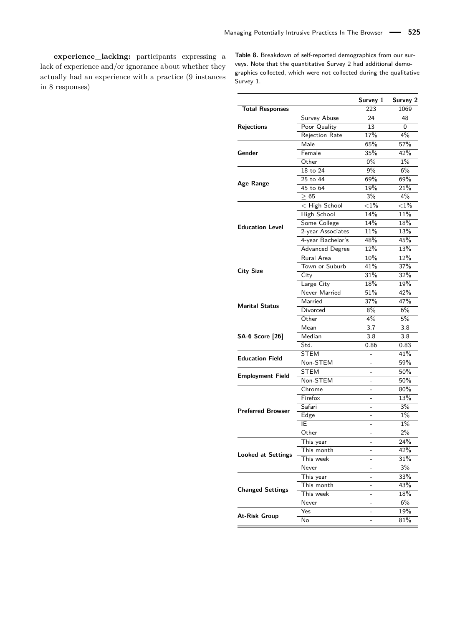**experience\_lacking:** participants expressing a lack of experience and/or ignorance about whether they actually had an experience with a practice (9 instances in 8 responses)

<span id="page-25-0"></span>**Table 8.** Breakdown of self-reported demographics from our surveys. Note that the quantitative Survey 2 had additional demographics collected, which were not collected during the qualitative Survey 1.

|                           |                        | Survey 1                 | Survey 2 |
|---------------------------|------------------------|--------------------------|----------|
| <b>Total Responses</b>    |                        | 223                      | 1069     |
|                           | Survey Abuse           | 24                       | 48       |
| <b>Rejections</b>         | Poor Quality           | 13                       | 0        |
|                           | Rejection Rate         | 17%                      | 4%       |
|                           | Male                   | 65%                      | 57%      |
| Gender                    | Female                 | 35%                      | 42%      |
|                           | Other                  | $0\%$                    | 1%       |
|                           | 18 to 24               | $9\%$                    | 6%       |
|                           | 25 to 44               | 69%                      | 69%      |
| Age Range                 | 45 to 64               | 19%                      | 21%      |
|                           | $\geq 65$              | $3\%$                    | $4\%$    |
|                           | < High School          | ${<}1\%$                 | ${<}1\%$ |
|                           | <b>High School</b>     | 14%                      | 11%      |
|                           | Some College           | 14%                      | 18%      |
| <b>Education Level</b>    | 2-year Associates      | 11%                      | 13%      |
|                           | 4-year Bachelor's      | 48%                      | 45%      |
|                           | <b>Advanced Degree</b> | 12%                      | 13%      |
|                           | Rural Area             | 10%                      | 12%      |
|                           | Town or Suburb         | 41%                      | 37%      |
| <b>City Size</b>          | City                   | 31%                      | 32%      |
|                           | Large City             | 18%                      | 19%      |
|                           | Never Married          | 51%                      | 42%      |
|                           | Married                | 37%                      | 47%      |
| <b>Marital Status</b>     | Divorced               | 8%                       | 6%       |
|                           | Other                  | $4\%$                    | 5%       |
|                           | Mean                   | 3.7                      | 3.8      |
| <b>SA-6 Score [26]</b>    | Median                 | 3.8                      | 3.8      |
|                           | Std.                   | 0.86                     | 0.83     |
|                           | <b>STEM</b>            |                          | 41%      |
| <b>Education Field</b>    | Non-STEM               |                          | 59%      |
|                           | <b>STEM</b>            | $\overline{a}$           | 50%      |
| <b>Employment Field</b>   | Non-STEM               | $\overline{a}$           | 50%      |
|                           | Chrome                 |                          | 80%      |
|                           | Firefox                |                          | 13%      |
|                           | Safari                 | $\overline{a}$           | 3%       |
| <b>Preferred Browser</b>  | Edge                   |                          | $1\%$    |
|                           | IE                     |                          | $1\%$    |
|                           | Other                  | $\overline{\phantom{0}}$ | 2%       |
|                           | This year              | $\overline{a}$           | 24%      |
|                           | This month             |                          | 42%      |
| <b>Looked at Settings</b> | This week              |                          | 31%      |
|                           | Never                  |                          | 3%       |
|                           | This year              |                          | 33%      |
|                           | This month             |                          | 43%      |
| <b>Changed Settings</b>   | This week              | -                        | 18%      |
|                           | Never                  | -                        | $6\%$    |
|                           | Yes                    | ۳                        | 19%      |
| At-Risk Group             | No                     |                          | 81%      |
|                           |                        |                          |          |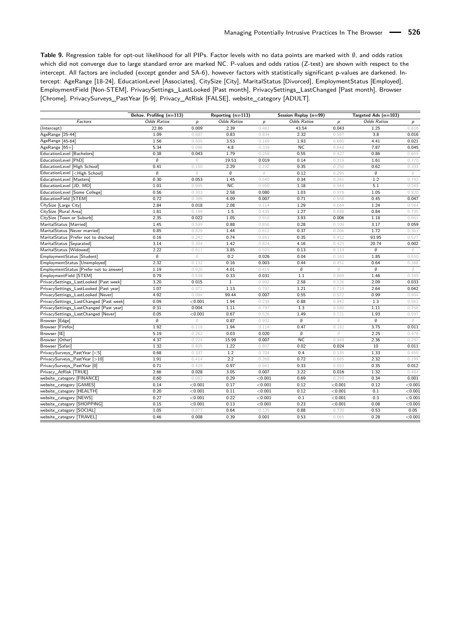<span id="page-26-0"></span>**Table 9.** Regression table for opt-out likelihood for all PIPs. Factor levels with no data points are marked with ∅, and odds ratios which did not converge due to large standard error are marked NC. P-values and odds ratios (Z-test) are shown with respect to the intercept. All factors are included (except gender and SA-6), however factors with statistically significant p-values are darkened. Intercept: AgeRange [18-24], EducationLevel [Associates], CitySize [City], MaritalStatus [Divorced], EmploymentStatus [Employed], EmploymentField [Non-STEM], PrivacySettings\_LastLooked [Past month], PrivacySettings\_LastChanged [Past month], Browser [Chrome], PrivacySurveys\_PastYear [6-9], Privacy\_AtRisk [FALSE], website\_category [ADULT].

| <b>Odds Ratios</b><br><b>Odds Ratios</b><br>Factors<br><b>Odds Ratios</b><br><b>Odds Ratios</b><br>p<br>p<br>$\boldsymbol{p}$<br>р<br>22.86<br>0.009<br>2.39<br>0.481<br>43.54<br>0.043<br>1.25<br>0.816<br>(Intercept)<br>0.83<br>0.834<br>2.32<br>3.8<br>0.016<br>1.09<br>0.887<br>0.567<br>3.53<br>1.93<br>0.021<br>1.56<br>0.505<br>0.169<br>0.660<br>4.41<br>NC<br>5.34<br>0.096<br>4.8<br>0.339<br>0.648<br>7.87<br>0.045<br>0.38<br>0.043<br>1.79<br>0.258<br>0.55<br>0.427<br>0.86<br>0.659<br>Ø<br>19.53<br>0.019<br>0.14<br>0.319<br>1.61<br>0.770<br>Ø.<br>0.41<br>2.29<br>0.35<br>0.62<br>0.333<br>0.150<br>0.192<br>0.250<br>Ø<br>Ø<br>0.12<br>Ø<br>Ø<br>Ø<br>Ø<br>0.295<br>0.30<br>0.34<br>1.2<br>0.782<br>0.053<br>1.45<br>0.540<br>0.261<br><b>NC</b><br>1.01<br>0.950<br>1.18<br>0.944<br>5.1<br>0.249<br>0.995<br>0.920<br>0.56<br>0.303<br>2.58<br>0.080<br>1.03<br>1.05<br>0.976<br>0.72<br>4.09<br>0.007<br>0.71<br>0.45<br>0.047<br>0.396<br>0.558<br>1.29<br>2.84<br>0.018<br>2.08<br>0.114<br>0.664<br>1.24<br>0.564<br>1.81<br>0.199<br>1.5<br>0.435<br>1.27<br>0.84<br>0.735<br>0.688<br>2.35<br>1.05<br>3.93<br>0.022<br>0.006<br>1.18<br>0.661<br>0.910<br>1.45<br>0.88<br>0.28<br>3.17<br>0.059<br>0.599<br>0.856<br>0.109<br>0.85<br>0.829<br>1.44<br>0.37<br>1.72<br>0.363<br>0.612<br>0.206<br>0.35<br>0.16<br>0.242<br>0.74<br>0.452<br>93.95<br>0.527<br>0.851<br>0.002<br>3.14<br>0.304<br>1.42<br>0.824<br>4.16<br>0.423<br>20.74<br>2.22<br>0.13<br>Ø<br>0.611<br>3.85<br>0.503<br>0.114<br>Ø<br>Ø<br>Ø<br>0.2<br>0.04<br>0.550<br>0.026<br>0.163<br>1.85<br>2.32<br>0.44<br>0.64<br>0.388<br>0.132<br>0.16<br>0.003<br>0.451<br>$\emptyset$<br>1.19<br>0.920<br>4.01<br>0.419<br>Ø<br>Ø<br>Ø<br>0.79<br>0.33<br>1.1<br>0.349<br>0.538<br>0.031<br>0.869<br>1.46<br>2.58<br>0.033<br>3.20<br>0.015<br>$\mathbf{1}$<br>2.09<br>0.992<br>0.126<br>1.07<br>1.13<br>1.21<br>2.64<br>0.042<br>0.872<br>0.797<br>0.719<br>4.92<br>99.44<br>0.55<br>0.99<br>0.994<br>0.084<br>0.007<br>0.572<br>0.562<br>0.09<br>< 0.001<br>1.94<br>0.238<br>0.88<br>0.842<br>1.3<br>0.758<br>0.31<br>0.004<br>1.11<br>0.797<br>1.3<br>0.580<br>1.11<br>0.05<br>1.49<br>1.93<br>< 0.001<br>0.67<br>0.526<br>0.721<br>0.597<br>Ø<br>Ø<br>Ø<br>Ø<br>Ø<br>0.87<br>0.932<br>Ø<br>1.92<br>1.94<br>0.114<br>0.47<br>0.182<br>3.75<br>0.011<br>0.118<br>$\emptyset$<br>2.25<br>5.19<br>0.262<br>0.03<br>0.020<br>Ø<br>0.476<br><b>NC</b><br>2.36<br>0.297<br>4.37<br>0.224<br>15.99<br>0.007<br>0.949<br>1.32<br>0.02<br>10<br>0.011<br>0.805<br>1.22<br>0.024<br>0.807<br>0.68<br>1.2<br>0.4<br>0.450<br>0.337<br>0.704<br>0.135<br>1.33<br>2.2<br>1.91<br>0.414<br>0.268<br>0.72<br>2.32<br>0.199<br>0.685<br>0.97<br>0.33<br>0.012<br>0.71<br>0.429<br>0.941<br>0.093<br>0.35<br>3.22<br>2.66<br>0.028<br>3.05<br>0.007<br>0.016<br>1.32<br>0.484<br>0.001<br>0.60<br>0.082<br>0.29<br>< 0.001<br>0.69<br>0.298<br>0.34<br>0.12<br>0.14<br>< 0.001<br>0.17<br>< 0.001<br>< 0.001<br>0.12<br>< 0.001<br>0.20<br>< 0.001<br>0.11<br>< 0.001<br>0.12<br>< 0.001<br>0.1<br>< 0.001<br>0.22<br>0.27<br>< 0.001<br>< 0.001<br>0.1<br>< 0.001<br>0.3<br>< 0.001<br>0.23<br>0.08<br>0.15<br>< 0.001<br>0.13<br>< 0.001<br>< 0.001<br>< 0.001<br>0.64<br>0.88<br>0.05<br>1.05<br>0.877<br>0.135<br>0.720<br>0.53<br>0.53<br>< 0.001<br>0.46<br>0.008<br>0.39<br>0.001<br>0.065<br>0.28 |                                                                                               | Behav. Profiling (n=113) | Reporting (n=113) | Session Replay (n=99) | Targeted Ads (n=103) |  |
|-----------------------------------------------------------------------------------------------------------------------------------------------------------------------------------------------------------------------------------------------------------------------------------------------------------------------------------------------------------------------------------------------------------------------------------------------------------------------------------------------------------------------------------------------------------------------------------------------------------------------------------------------------------------------------------------------------------------------------------------------------------------------------------------------------------------------------------------------------------------------------------------------------------------------------------------------------------------------------------------------------------------------------------------------------------------------------------------------------------------------------------------------------------------------------------------------------------------------------------------------------------------------------------------------------------------------------------------------------------------------------------------------------------------------------------------------------------------------------------------------------------------------------------------------------------------------------------------------------------------------------------------------------------------------------------------------------------------------------------------------------------------------------------------------------------------------------------------------------------------------------------------------------------------------------------------------------------------------------------------------------------------------------------------------------------------------------------------------------------------------------------------------------------------------------------------------------------------------------------------------------------------------------------------------------------------------------------------------------------------------------------------------------------------------------------------------------------------------------------------------------------------------------------------------------------------------------------------------------------------------------------------------------------------------------------------------------------------------------------------------------------------------------------------------------------------------------------------------------------------------------------------------------------------------------------------------------------------------------------------------------------------------------------------------------------------------------------------------------------------------------------------------------------------------------------------------------------------------------------------------------------------------------------------------------------------------------------------------------------------------------------------|-----------------------------------------------------------------------------------------------|--------------------------|-------------------|-----------------------|----------------------|--|
|                                                                                                                                                                                                                                                                                                                                                                                                                                                                                                                                                                                                                                                                                                                                                                                                                                                                                                                                                                                                                                                                                                                                                                                                                                                                                                                                                                                                                                                                                                                                                                                                                                                                                                                                                                                                                                                                                                                                                                                                                                                                                                                                                                                                                                                                                                                                                                                                                                                                                                                                                                                                                                                                                                                                                                                                                                                                                                                                                                                                                                                                                                                                                                                                                                                                                                                                                                                         |                                                                                               |                          |                   |                       |                      |  |
|                                                                                                                                                                                                                                                                                                                                                                                                                                                                                                                                                                                                                                                                                                                                                                                                                                                                                                                                                                                                                                                                                                                                                                                                                                                                                                                                                                                                                                                                                                                                                                                                                                                                                                                                                                                                                                                                                                                                                                                                                                                                                                                                                                                                                                                                                                                                                                                                                                                                                                                                                                                                                                                                                                                                                                                                                                                                                                                                                                                                                                                                                                                                                                                                                                                                                                                                                                                         |                                                                                               |                          |                   |                       |                      |  |
|                                                                                                                                                                                                                                                                                                                                                                                                                                                                                                                                                                                                                                                                                                                                                                                                                                                                                                                                                                                                                                                                                                                                                                                                                                                                                                                                                                                                                                                                                                                                                                                                                                                                                                                                                                                                                                                                                                                                                                                                                                                                                                                                                                                                                                                                                                                                                                                                                                                                                                                                                                                                                                                                                                                                                                                                                                                                                                                                                                                                                                                                                                                                                                                                                                                                                                                                                                                         | AgeRange [25-44]                                                                              |                          |                   |                       |                      |  |
|                                                                                                                                                                                                                                                                                                                                                                                                                                                                                                                                                                                                                                                                                                                                                                                                                                                                                                                                                                                                                                                                                                                                                                                                                                                                                                                                                                                                                                                                                                                                                                                                                                                                                                                                                                                                                                                                                                                                                                                                                                                                                                                                                                                                                                                                                                                                                                                                                                                                                                                                                                                                                                                                                                                                                                                                                                                                                                                                                                                                                                                                                                                                                                                                                                                                                                                                                                                         | AgeRange [45-64]                                                                              |                          |                   |                       |                      |  |
|                                                                                                                                                                                                                                                                                                                                                                                                                                                                                                                                                                                                                                                                                                                                                                                                                                                                                                                                                                                                                                                                                                                                                                                                                                                                                                                                                                                                                                                                                                                                                                                                                                                                                                                                                                                                                                                                                                                                                                                                                                                                                                                                                                                                                                                                                                                                                                                                                                                                                                                                                                                                                                                                                                                                                                                                                                                                                                                                                                                                                                                                                                                                                                                                                                                                                                                                                                                         | AgeRange [65+]                                                                                |                          |                   |                       |                      |  |
|                                                                                                                                                                                                                                                                                                                                                                                                                                                                                                                                                                                                                                                                                                                                                                                                                                                                                                                                                                                                                                                                                                                                                                                                                                                                                                                                                                                                                                                                                                                                                                                                                                                                                                                                                                                                                                                                                                                                                                                                                                                                                                                                                                                                                                                                                                                                                                                                                                                                                                                                                                                                                                                                                                                                                                                                                                                                                                                                                                                                                                                                                                                                                                                                                                                                                                                                                                                         | EducationLevel [Bachelors]                                                                    |                          |                   |                       |                      |  |
|                                                                                                                                                                                                                                                                                                                                                                                                                                                                                                                                                                                                                                                                                                                                                                                                                                                                                                                                                                                                                                                                                                                                                                                                                                                                                                                                                                                                                                                                                                                                                                                                                                                                                                                                                                                                                                                                                                                                                                                                                                                                                                                                                                                                                                                                                                                                                                                                                                                                                                                                                                                                                                                                                                                                                                                                                                                                                                                                                                                                                                                                                                                                                                                                                                                                                                                                                                                         | EducationLevel [PhD]                                                                          |                          |                   |                       |                      |  |
|                                                                                                                                                                                                                                                                                                                                                                                                                                                                                                                                                                                                                                                                                                                                                                                                                                                                                                                                                                                                                                                                                                                                                                                                                                                                                                                                                                                                                                                                                                                                                                                                                                                                                                                                                                                                                                                                                                                                                                                                                                                                                                                                                                                                                                                                                                                                                                                                                                                                                                                                                                                                                                                                                                                                                                                                                                                                                                                                                                                                                                                                                                                                                                                                                                                                                                                                                                                         | EducationLevel [High School]                                                                  |                          |                   |                       |                      |  |
|                                                                                                                                                                                                                                                                                                                                                                                                                                                                                                                                                                                                                                                                                                                                                                                                                                                                                                                                                                                                                                                                                                                                                                                                                                                                                                                                                                                                                                                                                                                                                                                                                                                                                                                                                                                                                                                                                                                                                                                                                                                                                                                                                                                                                                                                                                                                                                                                                                                                                                                                                                                                                                                                                                                                                                                                                                                                                                                                                                                                                                                                                                                                                                                                                                                                                                                                                                                         | EducationLevel [ <high school]<="" td=""><td></td><td></td><td></td><td></td><td></td></high> |                          |                   |                       |                      |  |
|                                                                                                                                                                                                                                                                                                                                                                                                                                                                                                                                                                                                                                                                                                                                                                                                                                                                                                                                                                                                                                                                                                                                                                                                                                                                                                                                                                                                                                                                                                                                                                                                                                                                                                                                                                                                                                                                                                                                                                                                                                                                                                                                                                                                                                                                                                                                                                                                                                                                                                                                                                                                                                                                                                                                                                                                                                                                                                                                                                                                                                                                                                                                                                                                                                                                                                                                                                                         | EducationLevel [Masters]                                                                      |                          |                   |                       |                      |  |
|                                                                                                                                                                                                                                                                                                                                                                                                                                                                                                                                                                                                                                                                                                                                                                                                                                                                                                                                                                                                                                                                                                                                                                                                                                                                                                                                                                                                                                                                                                                                                                                                                                                                                                                                                                                                                                                                                                                                                                                                                                                                                                                                                                                                                                                                                                                                                                                                                                                                                                                                                                                                                                                                                                                                                                                                                                                                                                                                                                                                                                                                                                                                                                                                                                                                                                                                                                                         | EducationLevel [JD, MD]                                                                       |                          |                   |                       |                      |  |
|                                                                                                                                                                                                                                                                                                                                                                                                                                                                                                                                                                                                                                                                                                                                                                                                                                                                                                                                                                                                                                                                                                                                                                                                                                                                                                                                                                                                                                                                                                                                                                                                                                                                                                                                                                                                                                                                                                                                                                                                                                                                                                                                                                                                                                                                                                                                                                                                                                                                                                                                                                                                                                                                                                                                                                                                                                                                                                                                                                                                                                                                                                                                                                                                                                                                                                                                                                                         | EducationLevel [Some College]                                                                 |                          |                   |                       |                      |  |
|                                                                                                                                                                                                                                                                                                                                                                                                                                                                                                                                                                                                                                                                                                                                                                                                                                                                                                                                                                                                                                                                                                                                                                                                                                                                                                                                                                                                                                                                                                                                                                                                                                                                                                                                                                                                                                                                                                                                                                                                                                                                                                                                                                                                                                                                                                                                                                                                                                                                                                                                                                                                                                                                                                                                                                                                                                                                                                                                                                                                                                                                                                                                                                                                                                                                                                                                                                                         | EducationField [STEM]                                                                         |                          |                   |                       |                      |  |
|                                                                                                                                                                                                                                                                                                                                                                                                                                                                                                                                                                                                                                                                                                                                                                                                                                                                                                                                                                                                                                                                                                                                                                                                                                                                                                                                                                                                                                                                                                                                                                                                                                                                                                                                                                                                                                                                                                                                                                                                                                                                                                                                                                                                                                                                                                                                                                                                                                                                                                                                                                                                                                                                                                                                                                                                                                                                                                                                                                                                                                                                                                                                                                                                                                                                                                                                                                                         | CitySize [Large City]                                                                         |                          |                   |                       |                      |  |
|                                                                                                                                                                                                                                                                                                                                                                                                                                                                                                                                                                                                                                                                                                                                                                                                                                                                                                                                                                                                                                                                                                                                                                                                                                                                                                                                                                                                                                                                                                                                                                                                                                                                                                                                                                                                                                                                                                                                                                                                                                                                                                                                                                                                                                                                                                                                                                                                                                                                                                                                                                                                                                                                                                                                                                                                                                                                                                                                                                                                                                                                                                                                                                                                                                                                                                                                                                                         | CitySize [Rural Area]                                                                         |                          |                   |                       |                      |  |
|                                                                                                                                                                                                                                                                                                                                                                                                                                                                                                                                                                                                                                                                                                                                                                                                                                                                                                                                                                                                                                                                                                                                                                                                                                                                                                                                                                                                                                                                                                                                                                                                                                                                                                                                                                                                                                                                                                                                                                                                                                                                                                                                                                                                                                                                                                                                                                                                                                                                                                                                                                                                                                                                                                                                                                                                                                                                                                                                                                                                                                                                                                                                                                                                                                                                                                                                                                                         | CitySize [Town or Suburb]                                                                     |                          |                   |                       |                      |  |
|                                                                                                                                                                                                                                                                                                                                                                                                                                                                                                                                                                                                                                                                                                                                                                                                                                                                                                                                                                                                                                                                                                                                                                                                                                                                                                                                                                                                                                                                                                                                                                                                                                                                                                                                                                                                                                                                                                                                                                                                                                                                                                                                                                                                                                                                                                                                                                                                                                                                                                                                                                                                                                                                                                                                                                                                                                                                                                                                                                                                                                                                                                                                                                                                                                                                                                                                                                                         | MaritalStatus [Married]                                                                       |                          |                   |                       |                      |  |
|                                                                                                                                                                                                                                                                                                                                                                                                                                                                                                                                                                                                                                                                                                                                                                                                                                                                                                                                                                                                                                                                                                                                                                                                                                                                                                                                                                                                                                                                                                                                                                                                                                                                                                                                                                                                                                                                                                                                                                                                                                                                                                                                                                                                                                                                                                                                                                                                                                                                                                                                                                                                                                                                                                                                                                                                                                                                                                                                                                                                                                                                                                                                                                                                                                                                                                                                                                                         | MaritalStatus [Never married]                                                                 |                          |                   |                       |                      |  |
|                                                                                                                                                                                                                                                                                                                                                                                                                                                                                                                                                                                                                                                                                                                                                                                                                                                                                                                                                                                                                                                                                                                                                                                                                                                                                                                                                                                                                                                                                                                                                                                                                                                                                                                                                                                                                                                                                                                                                                                                                                                                                                                                                                                                                                                                                                                                                                                                                                                                                                                                                                                                                                                                                                                                                                                                                                                                                                                                                                                                                                                                                                                                                                                                                                                                                                                                                                                         | MaritalStatus [Prefer not to disclose]                                                        |                          |                   |                       |                      |  |
|                                                                                                                                                                                                                                                                                                                                                                                                                                                                                                                                                                                                                                                                                                                                                                                                                                                                                                                                                                                                                                                                                                                                                                                                                                                                                                                                                                                                                                                                                                                                                                                                                                                                                                                                                                                                                                                                                                                                                                                                                                                                                                                                                                                                                                                                                                                                                                                                                                                                                                                                                                                                                                                                                                                                                                                                                                                                                                                                                                                                                                                                                                                                                                                                                                                                                                                                                                                         | MaritalStatus [Separated]                                                                     |                          |                   |                       |                      |  |
|                                                                                                                                                                                                                                                                                                                                                                                                                                                                                                                                                                                                                                                                                                                                                                                                                                                                                                                                                                                                                                                                                                                                                                                                                                                                                                                                                                                                                                                                                                                                                                                                                                                                                                                                                                                                                                                                                                                                                                                                                                                                                                                                                                                                                                                                                                                                                                                                                                                                                                                                                                                                                                                                                                                                                                                                                                                                                                                                                                                                                                                                                                                                                                                                                                                                                                                                                                                         | MaritalStatus [Widowed]                                                                       |                          |                   |                       |                      |  |
|                                                                                                                                                                                                                                                                                                                                                                                                                                                                                                                                                                                                                                                                                                                                                                                                                                                                                                                                                                                                                                                                                                                                                                                                                                                                                                                                                                                                                                                                                                                                                                                                                                                                                                                                                                                                                                                                                                                                                                                                                                                                                                                                                                                                                                                                                                                                                                                                                                                                                                                                                                                                                                                                                                                                                                                                                                                                                                                                                                                                                                                                                                                                                                                                                                                                                                                                                                                         | EmploymentStatus [Student]                                                                    |                          |                   |                       |                      |  |
|                                                                                                                                                                                                                                                                                                                                                                                                                                                                                                                                                                                                                                                                                                                                                                                                                                                                                                                                                                                                                                                                                                                                                                                                                                                                                                                                                                                                                                                                                                                                                                                                                                                                                                                                                                                                                                                                                                                                                                                                                                                                                                                                                                                                                                                                                                                                                                                                                                                                                                                                                                                                                                                                                                                                                                                                                                                                                                                                                                                                                                                                                                                                                                                                                                                                                                                                                                                         | EmploymentStatus [Unemployed]                                                                 |                          |                   |                       |                      |  |
|                                                                                                                                                                                                                                                                                                                                                                                                                                                                                                                                                                                                                                                                                                                                                                                                                                                                                                                                                                                                                                                                                                                                                                                                                                                                                                                                                                                                                                                                                                                                                                                                                                                                                                                                                                                                                                                                                                                                                                                                                                                                                                                                                                                                                                                                                                                                                                                                                                                                                                                                                                                                                                                                                                                                                                                                                                                                                                                                                                                                                                                                                                                                                                                                                                                                                                                                                                                         | EmploymentStatus [Prefer not to answer]                                                       |                          |                   |                       |                      |  |
|                                                                                                                                                                                                                                                                                                                                                                                                                                                                                                                                                                                                                                                                                                                                                                                                                                                                                                                                                                                                                                                                                                                                                                                                                                                                                                                                                                                                                                                                                                                                                                                                                                                                                                                                                                                                                                                                                                                                                                                                                                                                                                                                                                                                                                                                                                                                                                                                                                                                                                                                                                                                                                                                                                                                                                                                                                                                                                                                                                                                                                                                                                                                                                                                                                                                                                                                                                                         | EmploymentField [STEM]                                                                        |                          |                   |                       |                      |  |
|                                                                                                                                                                                                                                                                                                                                                                                                                                                                                                                                                                                                                                                                                                                                                                                                                                                                                                                                                                                                                                                                                                                                                                                                                                                                                                                                                                                                                                                                                                                                                                                                                                                                                                                                                                                                                                                                                                                                                                                                                                                                                                                                                                                                                                                                                                                                                                                                                                                                                                                                                                                                                                                                                                                                                                                                                                                                                                                                                                                                                                                                                                                                                                                                                                                                                                                                                                                         | PrivacySettings_LastLooked [Past week]                                                        |                          |                   |                       |                      |  |
|                                                                                                                                                                                                                                                                                                                                                                                                                                                                                                                                                                                                                                                                                                                                                                                                                                                                                                                                                                                                                                                                                                                                                                                                                                                                                                                                                                                                                                                                                                                                                                                                                                                                                                                                                                                                                                                                                                                                                                                                                                                                                                                                                                                                                                                                                                                                                                                                                                                                                                                                                                                                                                                                                                                                                                                                                                                                                                                                                                                                                                                                                                                                                                                                                                                                                                                                                                                         | PrivacySettings_LastLooked [Past year]                                                        |                          |                   |                       |                      |  |
|                                                                                                                                                                                                                                                                                                                                                                                                                                                                                                                                                                                                                                                                                                                                                                                                                                                                                                                                                                                                                                                                                                                                                                                                                                                                                                                                                                                                                                                                                                                                                                                                                                                                                                                                                                                                                                                                                                                                                                                                                                                                                                                                                                                                                                                                                                                                                                                                                                                                                                                                                                                                                                                                                                                                                                                                                                                                                                                                                                                                                                                                                                                                                                                                                                                                                                                                                                                         | PrivacySettings_LastLooked [Never]                                                            |                          |                   |                       |                      |  |
|                                                                                                                                                                                                                                                                                                                                                                                                                                                                                                                                                                                                                                                                                                                                                                                                                                                                                                                                                                                                                                                                                                                                                                                                                                                                                                                                                                                                                                                                                                                                                                                                                                                                                                                                                                                                                                                                                                                                                                                                                                                                                                                                                                                                                                                                                                                                                                                                                                                                                                                                                                                                                                                                                                                                                                                                                                                                                                                                                                                                                                                                                                                                                                                                                                                                                                                                                                                         | PrivacySettings_LastChanged [Past week]                                                       |                          |                   |                       |                      |  |
|                                                                                                                                                                                                                                                                                                                                                                                                                                                                                                                                                                                                                                                                                                                                                                                                                                                                                                                                                                                                                                                                                                                                                                                                                                                                                                                                                                                                                                                                                                                                                                                                                                                                                                                                                                                                                                                                                                                                                                                                                                                                                                                                                                                                                                                                                                                                                                                                                                                                                                                                                                                                                                                                                                                                                                                                                                                                                                                                                                                                                                                                                                                                                                                                                                                                                                                                                                                         | PrivacySettings_LastChanged [Past year]                                                       |                          |                   |                       |                      |  |
|                                                                                                                                                                                                                                                                                                                                                                                                                                                                                                                                                                                                                                                                                                                                                                                                                                                                                                                                                                                                                                                                                                                                                                                                                                                                                                                                                                                                                                                                                                                                                                                                                                                                                                                                                                                                                                                                                                                                                                                                                                                                                                                                                                                                                                                                                                                                                                                                                                                                                                                                                                                                                                                                                                                                                                                                                                                                                                                                                                                                                                                                                                                                                                                                                                                                                                                                                                                         | PrivacySettings_LastChanged [Never]                                                           |                          |                   |                       |                      |  |
|                                                                                                                                                                                                                                                                                                                                                                                                                                                                                                                                                                                                                                                                                                                                                                                                                                                                                                                                                                                                                                                                                                                                                                                                                                                                                                                                                                                                                                                                                                                                                                                                                                                                                                                                                                                                                                                                                                                                                                                                                                                                                                                                                                                                                                                                                                                                                                                                                                                                                                                                                                                                                                                                                                                                                                                                                                                                                                                                                                                                                                                                                                                                                                                                                                                                                                                                                                                         | Browser [Edge]                                                                                |                          |                   |                       |                      |  |
|                                                                                                                                                                                                                                                                                                                                                                                                                                                                                                                                                                                                                                                                                                                                                                                                                                                                                                                                                                                                                                                                                                                                                                                                                                                                                                                                                                                                                                                                                                                                                                                                                                                                                                                                                                                                                                                                                                                                                                                                                                                                                                                                                                                                                                                                                                                                                                                                                                                                                                                                                                                                                                                                                                                                                                                                                                                                                                                                                                                                                                                                                                                                                                                                                                                                                                                                                                                         | Browser [Firefox]                                                                             |                          |                   |                       |                      |  |
|                                                                                                                                                                                                                                                                                                                                                                                                                                                                                                                                                                                                                                                                                                                                                                                                                                                                                                                                                                                                                                                                                                                                                                                                                                                                                                                                                                                                                                                                                                                                                                                                                                                                                                                                                                                                                                                                                                                                                                                                                                                                                                                                                                                                                                                                                                                                                                                                                                                                                                                                                                                                                                                                                                                                                                                                                                                                                                                                                                                                                                                                                                                                                                                                                                                                                                                                                                                         | Browser [IE]                                                                                  |                          |                   |                       |                      |  |
|                                                                                                                                                                                                                                                                                                                                                                                                                                                                                                                                                                                                                                                                                                                                                                                                                                                                                                                                                                                                                                                                                                                                                                                                                                                                                                                                                                                                                                                                                                                                                                                                                                                                                                                                                                                                                                                                                                                                                                                                                                                                                                                                                                                                                                                                                                                                                                                                                                                                                                                                                                                                                                                                                                                                                                                                                                                                                                                                                                                                                                                                                                                                                                                                                                                                                                                                                                                         | Browser [Other]                                                                               |                          |                   |                       |                      |  |
|                                                                                                                                                                                                                                                                                                                                                                                                                                                                                                                                                                                                                                                                                                                                                                                                                                                                                                                                                                                                                                                                                                                                                                                                                                                                                                                                                                                                                                                                                                                                                                                                                                                                                                                                                                                                                                                                                                                                                                                                                                                                                                                                                                                                                                                                                                                                                                                                                                                                                                                                                                                                                                                                                                                                                                                                                                                                                                                                                                                                                                                                                                                                                                                                                                                                                                                                                                                         | Browser [Safari]                                                                              |                          |                   |                       |                      |  |
|                                                                                                                                                                                                                                                                                                                                                                                                                                                                                                                                                                                                                                                                                                                                                                                                                                                                                                                                                                                                                                                                                                                                                                                                                                                                                                                                                                                                                                                                                                                                                                                                                                                                                                                                                                                                                                                                                                                                                                                                                                                                                                                                                                                                                                                                                                                                                                                                                                                                                                                                                                                                                                                                                                                                                                                                                                                                                                                                                                                                                                                                                                                                                                                                                                                                                                                                                                                         | PrivacySurveys_PastYear [<5]                                                                  |                          |                   |                       |                      |  |
|                                                                                                                                                                                                                                                                                                                                                                                                                                                                                                                                                                                                                                                                                                                                                                                                                                                                                                                                                                                                                                                                                                                                                                                                                                                                                                                                                                                                                                                                                                                                                                                                                                                                                                                                                                                                                                                                                                                                                                                                                                                                                                                                                                                                                                                                                                                                                                                                                                                                                                                                                                                                                                                                                                                                                                                                                                                                                                                                                                                                                                                                                                                                                                                                                                                                                                                                                                                         | PrivacySurveys_PastYear [>10]                                                                 |                          |                   |                       |                      |  |
|                                                                                                                                                                                                                                                                                                                                                                                                                                                                                                                                                                                                                                                                                                                                                                                                                                                                                                                                                                                                                                                                                                                                                                                                                                                                                                                                                                                                                                                                                                                                                                                                                                                                                                                                                                                                                                                                                                                                                                                                                                                                                                                                                                                                                                                                                                                                                                                                                                                                                                                                                                                                                                                                                                                                                                                                                                                                                                                                                                                                                                                                                                                                                                                                                                                                                                                                                                                         | PrivacySurveys_PastYear [0]                                                                   |                          |                   |                       |                      |  |
|                                                                                                                                                                                                                                                                                                                                                                                                                                                                                                                                                                                                                                                                                                                                                                                                                                                                                                                                                                                                                                                                                                                                                                                                                                                                                                                                                                                                                                                                                                                                                                                                                                                                                                                                                                                                                                                                                                                                                                                                                                                                                                                                                                                                                                                                                                                                                                                                                                                                                                                                                                                                                                                                                                                                                                                                                                                                                                                                                                                                                                                                                                                                                                                                                                                                                                                                                                                         | Privacy_AtRisk [TRUE]                                                                         |                          |                   |                       |                      |  |
|                                                                                                                                                                                                                                                                                                                                                                                                                                                                                                                                                                                                                                                                                                                                                                                                                                                                                                                                                                                                                                                                                                                                                                                                                                                                                                                                                                                                                                                                                                                                                                                                                                                                                                                                                                                                                                                                                                                                                                                                                                                                                                                                                                                                                                                                                                                                                                                                                                                                                                                                                                                                                                                                                                                                                                                                                                                                                                                                                                                                                                                                                                                                                                                                                                                                                                                                                                                         | website_category [FINANCE]                                                                    |                          |                   |                       |                      |  |
|                                                                                                                                                                                                                                                                                                                                                                                                                                                                                                                                                                                                                                                                                                                                                                                                                                                                                                                                                                                                                                                                                                                                                                                                                                                                                                                                                                                                                                                                                                                                                                                                                                                                                                                                                                                                                                                                                                                                                                                                                                                                                                                                                                                                                                                                                                                                                                                                                                                                                                                                                                                                                                                                                                                                                                                                                                                                                                                                                                                                                                                                                                                                                                                                                                                                                                                                                                                         | website_category [GAMES]                                                                      |                          |                   |                       |                      |  |
|                                                                                                                                                                                                                                                                                                                                                                                                                                                                                                                                                                                                                                                                                                                                                                                                                                                                                                                                                                                                                                                                                                                                                                                                                                                                                                                                                                                                                                                                                                                                                                                                                                                                                                                                                                                                                                                                                                                                                                                                                                                                                                                                                                                                                                                                                                                                                                                                                                                                                                                                                                                                                                                                                                                                                                                                                                                                                                                                                                                                                                                                                                                                                                                                                                                                                                                                                                                         | website_category [HEALTH]                                                                     |                          |                   |                       |                      |  |
|                                                                                                                                                                                                                                                                                                                                                                                                                                                                                                                                                                                                                                                                                                                                                                                                                                                                                                                                                                                                                                                                                                                                                                                                                                                                                                                                                                                                                                                                                                                                                                                                                                                                                                                                                                                                                                                                                                                                                                                                                                                                                                                                                                                                                                                                                                                                                                                                                                                                                                                                                                                                                                                                                                                                                                                                                                                                                                                                                                                                                                                                                                                                                                                                                                                                                                                                                                                         | website_category [NEWS]                                                                       |                          |                   |                       |                      |  |
|                                                                                                                                                                                                                                                                                                                                                                                                                                                                                                                                                                                                                                                                                                                                                                                                                                                                                                                                                                                                                                                                                                                                                                                                                                                                                                                                                                                                                                                                                                                                                                                                                                                                                                                                                                                                                                                                                                                                                                                                                                                                                                                                                                                                                                                                                                                                                                                                                                                                                                                                                                                                                                                                                                                                                                                                                                                                                                                                                                                                                                                                                                                                                                                                                                                                                                                                                                                         | website_category [SHOPPING]                                                                   |                          |                   |                       |                      |  |
|                                                                                                                                                                                                                                                                                                                                                                                                                                                                                                                                                                                                                                                                                                                                                                                                                                                                                                                                                                                                                                                                                                                                                                                                                                                                                                                                                                                                                                                                                                                                                                                                                                                                                                                                                                                                                                                                                                                                                                                                                                                                                                                                                                                                                                                                                                                                                                                                                                                                                                                                                                                                                                                                                                                                                                                                                                                                                                                                                                                                                                                                                                                                                                                                                                                                                                                                                                                         | website_category [SOCIAL]                                                                     |                          |                   |                       |                      |  |
|                                                                                                                                                                                                                                                                                                                                                                                                                                                                                                                                                                                                                                                                                                                                                                                                                                                                                                                                                                                                                                                                                                                                                                                                                                                                                                                                                                                                                                                                                                                                                                                                                                                                                                                                                                                                                                                                                                                                                                                                                                                                                                                                                                                                                                                                                                                                                                                                                                                                                                                                                                                                                                                                                                                                                                                                                                                                                                                                                                                                                                                                                                                                                                                                                                                                                                                                                                                         | website_category [TRAVEL]                                                                     |                          |                   |                       |                      |  |